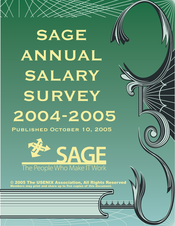# **SAGE ANNUAL SALARY SURVEY 2004-2005**

**Published October 10, 2005**



© 2005 The USENIX Association, All Rights Reserved Members may print and share up to five copies of this document.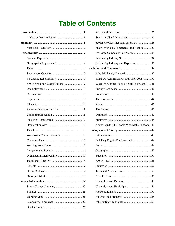# **Table of Contents**

| Relevant Education vs. Age  11 |
|--------------------------------|
|                                |
|                                |
|                                |
|                                |
| Work Week Characterization  13 |
|                                |
|                                |
|                                |
| Organization Membership  15    |
|                                |
|                                |
|                                |
|                                |
|                                |
|                                |
|                                |
|                                |
|                                |
|                                |

| SAGE Job Classifications vs. Salary  28      |  |
|----------------------------------------------|--|
| Salary by Focus, Experience, and Region  29  |  |
| Do Large Companies Pay More?  34             |  |
|                                              |  |
| Salaries by Industry and Experience  36      |  |
|                                              |  |
|                                              |  |
| What Do Admins Like About Their Jobs?  39    |  |
| What Do Admins Dislike About Their Jobs?  41 |  |
|                                              |  |
|                                              |  |
|                                              |  |
|                                              |  |
|                                              |  |
|                                              |  |
|                                              |  |
|                                              |  |
| About SAGE: The People Who Make IT Work . 48 |  |
|                                              |  |
|                                              |  |
| Did They Regain Employment?  49              |  |
|                                              |  |
|                                              |  |
|                                              |  |
|                                              |  |
|                                              |  |
|                                              |  |
|                                              |  |
|                                              |  |
|                                              |  |
|                                              |  |
|                                              |  |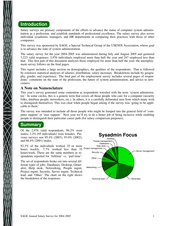### **Introduction**

Salary surveys are primary components of the efforts to advance the status of computer system administration as a profession, and establish standards of professional excellence. The salary survey also serves individual sysadmins, managers, and HR departments in comparing their practices with those of other companies.

This survey was sponsored by SAGE, a Special Technical Group of the USENIX Association, whose goal is to advance the state of system administration.

The salary survey for the year 2004-2005 was administered during July and August 2005 and garnered 3,223 valid responses: 2,976 individuals employed more than half the year and 247 employed less than that. This first part of this document analyzes those employed for more than half the year; the unemployment survey follows on the final pages.

This report includes a large section on demographics, the qualities of the respondents. That is followed by extensive statistical analyses of salaries, distribution, salary increases. Breakdowns include by geography, gender, and experience. The final part of the employment survey includes several pages of respondents' comments on the state of the profession, the future of system administration, and advice to newcomers.

### **A Note on Nomenclature**

This year's survey generated some contention as respondents wrestled with the term 'system administrator.' In some circles, this is a generic term that covers all those people who care for a computer (security folks, database people, networkers, etc.). In others, it is a carefully delineated area from which many wish to distinguish themselves. This was clear when people began asking if the survey was 'going to be applicable to them.'

The survey was intended to include all those people who might be lumped into the general field of 'computer support' or 'user support.' Next year we'll try to do a better job of being inclusive while enabling people to distinguish their particular career path (for salary comparison purposes).

### **Summary**

Of the 2,976 valid respondents, 96.2% were males; 3.2% (95 individuals) were females. Previous surveys saw 95.4% (2003), 93.0% (2002), and 88.4% (2001) males.

92.3% of the individuals worked 35 or more hours weekly. 7.7% worked less than 35 hours/week. These are the same numbers as respondents reported for 'fulltime' vs. 'part-time'.

The set of respondents broke out into several different types of jobs: Databases, Desktop, Generalist, Help desk, Networking, People mgmt, Project mgmt, Security, Server mgmt, Technical lead, and 'Other.' The chart on the right shows the breakdown of the responses.

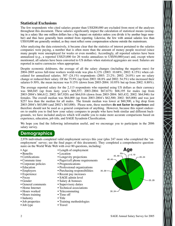### **Statistical Exclusions**

The few respondents who cited salaries greater than US\$200,000 are excluded from most of the analyses throughout this document. These salaries significantly impact the calculation of statistical means (averaging in a salary like one million dollars has a big impact on statistics unless you divide it by another huge number) and thus have generally been omitted from reporting. Likewise, the few with annual salaries less than US\$10,000 are generally omitted, as they must reflect some compensation scheme outside the mainstream.

After analyzing the data extensively, it became clear that the statistics of interest pertained to the salaries companies were paying, a number that is often more than the amount of money people received (since many people were unemployed for weeks or even months). Accordingly, all reported salaries have been annualized (e.g., a reported US\$25,000 for 26 weeks annualizes to US\$50,000/year) and, except where mentioned, all salaries have been converted to US dollars when statistical aggregates are used. Salaries are reported in native currencies when appropriate.

Despite economic doldrums, the average of all the salary changes (including the negative ones) for 2004-2005 across full-time workers world-wide was plus 6.12% (2003: 10.68%, 2002: 8.15%) when calculated for annualized salaries. 507 (24.1%) respondents (2003: 23.2%; 2002: 24.0%) saw no salary change or reduced their salary. Of the 75.9% (up from 2003: 68.8% and 2002: 54.5%) who increased their salaries 0-30%, the mean increase was 9.15% (down from 2003-2004: 10.95% but up from 2002: 8.88%).

The average reported salary for the 2,113 respondents who reported using US dollars as their currency was \$68,045 (up from lasty year's \$66,557; 2003-2004: \$67,675): \$68,195 for males (up from 2003-2004's \$66,612; 2002: \$67,920) and \$64,016 (down from 2003-2004: \$65,432; 2002: \$64,946) for females. The overall median was \$64,000 (up from 2003-2004's \$62,500; 2002: \$65,000) and was just \$257 less than the median for all males. The female median was lower at \$60,500, a big drop from 2003-2004's \$65,000 (and 2002's \$63,000). Please note, these numbers **do not factor in experience** and therefore should not be used as a general comparison of anything. However, because this report endeavors to enable you to find how your salary compares to people who have both similar and different backgrounds, we have included analysis which will enable you to make more accurate comparisons based on experience, education, job title, and SAGE Sysadmin Classification.

We hope you find the following information useful, and we encourage you to participate in the 2006 salary survey.

### **Demographics**

2,976 individuals completed valid employment surveys this year (plus 247 more who completed the 'unemployment' survey; see the final pages of this document). They completed a comprehensive questionnaire on the World Wide Web with over 80 questions, including:

- Age
- Benefits
- Certifications
- Commute time
- Corporate policies
- Education
- Employers
- Experience
- Focus
- Gender
- General comments
- Home Internet
- Hours worked
- Hours training
- Industry
- Job properties
- Job type
- Length of employment
	- Location
- Longevity projections
- Pager/cell phone requirements
- Prognostications
- Professional organizations
- Purchasing responsibilities
- Recent pay increases
- SAGE admin level
- Salary & bonuses
- Supervisory duties
- Technical associations
- Telecommuting
- Time off
- Title
- Training methodologies
- Travel

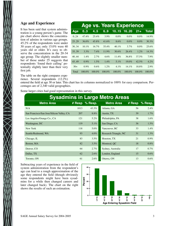### **Age and Experience**

It has been said that system administration is a young person's game. The pie chart above shows the concentration of admins in various age groups. 45.2% of the respondents were under 30 years of age; only 15.0% were 40 years old or older. It's easy to observe the concentration in the 20-34 age group. The slightly smaller number of those under 25 suggests that respondents 'found their calling' potentially slightly later than their very first job.

|       |           |           |        |           | <b>Age vs. Years Experience</b> |           |              |
|-------|-----------|-----------|--------|-----------|---------------------------------|-----------|--------------|
| Age   | 0.3       | 4.5       | 6.9    | 1015      | 1620                            | $21+$     | <b>Total</b> |
| 0.24  | 47.4%     | 25.4%     | 3.9%   | $0.0\%$   | $0.0\%$                         | $0.0\%$   | 14.9%        |
| 25.29 | 36.0%     | 45.8%     | 41.6%  | 8.6%      | $0.0\%$                         | $0.0\%$   | 30.3%        |
| 30.34 | $10.1\%$  | $16.7\%$  | 35.4%  | $40.1\%$  | 3.7%                            | $0.0\%$   | 25.6%        |
| 35.39 | 3.3%      | 7.4%      | 11.9%  | 30.6%     | 26.4%                           | 1.2%      | 14.3%        |
| 40.44 | $1.4\%$   | $2.7\%$   | 4.6%   | 11.4%     | 36.8%                           | 37.5%     | 7.9%         |
| 45.49 | $0.9\%$   | $1.5\%$   | 1.4%   | $5.1\%$   | 19.0%                           | 42.5%     | 4.2%         |
| $50+$ | $0.9\%$   | 0.6%      | 1.2%   | 4.1%      | 14.1%                           | 18.8%     | 2.9%         |
| Total | $100.0\%$ | $100.0\%$ | 100.0% | $100.0\%$ | $100.0\%$                       | $100.0\%$ | $100.0\%$    |

The table on the right compares experience. Several respondents (12.2%)

entered the field at age 30 or later. This chart has its columns normalized to 100% for easy comparison. Percentages are of 2,340 valid geographies.

Some larger cities had good representation in this survey.

|                                           |      |                    | <b>Sysadmins in Large Metro Areas</b> |          |           |
|-------------------------------------------|------|--------------------|---------------------------------------|----------|-----------|
| <b>Metro Area</b>                         |      | $#$ Resp $%$ Resp. | <b>Metro Area</b>                     | $#$ Resp | $%$ Resp. |
| N/A                                       | 1013 | 43.3%              | Atlanta, GA                           | 56       | 2.4%      |
| San Francisco/San Jose/Silicon Valley, CA | 207  | 8.8%               | Austin, TX                            | 39       | $1.7\%$   |
| Los Angeles/Orange Co., CA                | 121  | 5.2%               | Philadelphia, PA                      | 38       | $1.6\%$   |
| Washington, DC                            | 119  | 5.1%               | San Diego, CA                         | 36       | $1.5\%$   |
| New York                                  | 118  | 5.0%               | Vancouver, BC                         | 33       | $1.4\%$   |
| Seattle/Redmond, WA                       | 93   | $4.0\%$            | Research Triangle, NC                 | 31       | $1.3\%$   |
| Chicago, IL                               | 83   | $3.5\%$            | Houston, TX                           | 21       | $0.9\%$   |
| Boston, MA                                | 82   | $3.5\%$            | Montreal, QC                          | 18       | $0.8\%$   |
| Denver, CO                                | 64   | 2.7%               | Sydney, Australia                     | 17       | 0.7%      |
| Dallas, TX                                | 62   | $2.6\%$            | London, England                       | 15       | $0.6\%$   |
| Toronto, ON                               | 61   | $2.6\%$            | Ottawa, ON                            | 13       | $0.6\%$   |

Subtracting years of experience in the field of system administration from the respondent's age can lead to a rough approximation of the age they entered the field (though obviously some respondents might have been sysadmins for a while then changed careers and later changed back). The chart on the right shows the results of such an estimation.

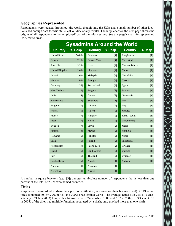### **Geographies Represented**

Respondents were located throughout the world, though only the USA and a small number of other locations had enough data for true statistical validity of any results. The large chart on the next page shows the origins of all respondents to the 'employed' part of the salary survey. See this page's chart for represented USA metro areas.

|                       |                    |                |                   | <b>Sysadmins Around the World</b> |         |
|-----------------------|--------------------|----------------|-------------------|-----------------------------------|---------|
| <b>Country</b>        | % Resp.            | <b>Country</b> | % Resp.           | <b>Country</b>                    | % Resp. |
| <b>United States</b>  | 76.0%              | Denmark        | [4]               | Bangladesh                        | $[1]$   |
| Canada                | $7.1\%$            | France, Metro  | [4]               | Cape Verde                        | $[1]$   |
| Australia             | $3.3\%$            | <b>Israel</b>  | [4]               | Cayman Islands                    | $[1]$   |
| <b>United Kingdom</b> | $2.6\%$            | Lithuania      | [4]               | China                             | $[1]$   |
| Ireland               | $1.6\%$            | Malaysia       | [4]               | Costa Rica                        | $[1]$   |
| Norway                | 1.0%               | Portugal       | [4]               | Croatia                           | $[1]$   |
| Germany               | $\lceil 26 \rceil$ | Switzerland    | [4]               | Egypt                             | $[1]$   |
| New Zealand           | $[24]$             | Bulgaria       | $[3]$             | Estonia                           | $[1]$   |
| India                 | $[15]$             | Greece         | [3]               | Guatemala                         | $[1]$   |
| <b>Netherlands</b>    | $[13]$             | Singapore      | [3]               | <b>Iran</b>                       | $[1]$   |
| Belgium               | [8]                | Albania        | $\lceil 2 \rceil$ | Iraq                              | $[1]$   |
| Russia                | [8]                | Algeria        | [2]               | Jamaica                           | $[1]$   |
| France                | [7]                | Hungary        | $\lceil 2 \rceil$ | Korea (South)                     | $[1]$   |
| Japan                 | $[7]$              | Kuwait         | [2]               | Luxembourg                        | $[1]$   |
| Sweden                | $[7]$              | Latvia         | $[2]$             | Malta                             | $[1]$   |
| Finland               | [6]                | Mexico         | $\lceil 2 \rceil$ | Namibia                           | $[1]$   |
| Romania               | [6]                | Pakistan       | $\lceil 2 \rceil$ | Nepal                             | $[1]$   |
| Spain                 | [6]                | Poland         | $\lceil 2 \rceil$ | Philippines                       | $[1]$   |
| Afghanistan           | $\lceil 5 \rceil$  | Puerto Rico    | $\lceil 2 \rceil$ | Rwanda                            | $[1]$   |
| <b>Brazil</b>         | $[5]$              | Saudi Arabia   | [2]               | Ukraine                           | $[1]$   |
| Italy                 | $[5]$              | Thailand       | $\lceil 2 \rceil$ | Uruguay                           | $[1]$   |
| South Africa          | $\lceil 5 \rceil$  | Angola         | $[1]$             | Vietnam                           | $[1]$   |
| Andorra               | [4]                | Armenia        | $[1]$             |                                   |         |
| Argentina             | [4]                | Austria        | [1]               |                                   |         |

A number in square brackets (e.g., [3]) denotes an absolute number of respondents that is less than one percent of the total of 2,976 who named countries.

### **Titles**

Respondents were asked to share their position's title (i.e., as shown on their business card). 2,149 actual titles contained 400 (vs. 2003: 437 and 2002: 688) distinct words. The average actual title was 21.8 characters (vs. 21.6 in 2003) long with 2.62 words (vs. 2.74 words in 2003 and 3.72 in 2002). 3.3% (vs. 4.7% in 2003) of the titles had multiple functions separated by a slash; only two had more than one slash.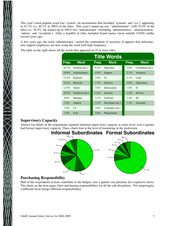This year's most popular word was 'system' (in incarnations that included 'systems' and 'sys'), appearing in 41.7% (vs. 40.1% in 2003) of the titles. This year's runner-up was ''administrator'' with 35.6% of the titles (vs. 34.5%, the runner-up in 2003) was 'administrator' (including 'administrative,' 'administration,' 'admin,' and 'sysadmin'). Only a handful of titles included brand names (most notably UNIX) unlike several years ago.

A few years ago, the word 'administrator' carried the connotation of secretary. It appears that infrastructure support employees are now using the word with high frequency.

The table on the right shows all the words that appeared in 25 or more titles.

|          |                  |         | <b>Title Words</b> |         |                   |
|----------|------------------|---------|--------------------|---------|-------------------|
| Freq.    | <b>Word</b>      | Freq.   | <b>Word</b>        | Freq.   | <b>Word</b>       |
| $41.7\%$ | Systems (etc.)   | $6.1\%$ | Specialist         | 2.8%    | Consultant (etc.) |
| 35.6%    | Administrator    | $4.5\%$ | Support            | 2.7%    | Architect         |
| $17.4\%$ | Engineer         | $3.8\%$ | Sr.                | 2.1%    | Lead              |
| $14.3\%$ | <b>Network</b>   | $3.7\%$ | Director           | 2.0%    | Operations        |
| 11.9%    | Senior           | $3.6\%$ | Information        | $1.8\%$ | $\mathbf{I}$      |
| $10.5\%$ | Technical (etc.) | $3.4\%$ | Security           | $1.4\%$ | Service           |
| 8.8%     | Manager          | $3.2\%$ | Software           | $1.4\%$ | III               |
| 7.6%     | Analyst          | $3.1\%$ | Developer (etc.)   | $1.2\%$ | Assistant         |
| 7.4%     | I.T.             | $3.0\%$ | Computer (etc.)    |         |                   |
| 7.2%     | Unix             | 2.8%    | Programmer         |         |                   |

### **Supervisory Capacity**

Almost two-thirds of the respondents reported informal supervisory capacity at some level; over a quarter had formal supervisory capacity. These charts hint at the level of mentoring in the profession.



#### **Purchasing Responsibility**

Half of the respondents at least contribute to the budget; over a quarter can purchase less expensive items. The charts on the next pages show purchasing responsibilities for all the sub-disciplines. Not surprisingly, a different focus brings different responsibilities.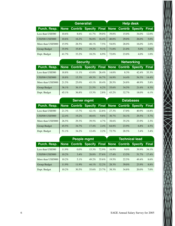|                    |          |                             | Generalist <sup>'</sup> |         | <b>Help desk</b> |                                   |          |          |
|--------------------|----------|-----------------------------|-------------------------|---------|------------------|-----------------------------------|----------|----------|
| Purch. Resp.       |          | <b>None Contrib Specify</b> |                         |         |                  | <b>Final None Contrib Specify</b> |          | Final    |
| Less than US\$500  | $10.6\%$ | 8.6%                        | $41.7\%$                | 39.0%   | $39.0\%$         | $15.0\%$                          | 34.0%    | $12.0\%$ |
| US\$500-US\$5000   | $10.6\%$ | $16.2\%$                    | 56.8%                   | 16.4%   | $40.0\%$         | $29.0\%$                          | $26.0\%$ | 5.0%     |
| More than US\$5000 | 15.9%    | $28.5\%$                    | $48.1\%$                | 7.5%    | 54.0%            | 28.0%                             | 16.0%    | 2.0%     |
| Group Budget       | $35.9\%$ | 35.8%                       | $19.2\%$                | 9.1%    | 71.0%            | $21.0\%$                          | $5.0\%$  | 3.0%     |
| Dept. Budget       | 41.7%    | 33.2%                       | 18.2%                   | $6.9\%$ | 72.0%            | 23.0%                             | $4.0\%$  | $1.0\%$  |

|                    |          | <b>Security</b>     |          |          | <b>Networking</b> |                                   |                |          |
|--------------------|----------|---------------------|----------|----------|-------------------|-----------------------------------|----------------|----------|
| Purch. Resp.       |          | <b>None Contrib</b> |          |          |                   | <b>Specify Final None Contrib</b> | <b>Specify</b> | Final    |
| Less than US\$500  | 18.8%    | $11.1\%$            | 43.8%    | $26.4\%$ | $14.0\%$          | 8.3%                              | $42.4\%$       | $35.3\%$ |
| US\$500-US\$5000   | 18.8%    | $15.3\%$            | $49.3\%$ | $16.7\%$ | $16.9\%$          | $14.4\%$                          | 54.3%          | $14.4\%$ |
| More than US\$5000 | 21.5%    | $25.0\%$            | $43.1\%$ | $10.4\%$ | 20.5%             | 24.8%                             | 48.9%          | 5.8%     |
| Group Budget       | $36.1\%$ | $36.1\%$            | 21.5%    | $6.2\%$  | 35.6%             | 34.5%                             | 21.6%          | $8.3\%$  |
| Dept. Budget       | $45.1\%$ | 36.8%               | $15.3\%$ | 2.8%     | $43.2\%$          | $32.7\%$                          | $18.0\%$       | $6.1\%$  |

|                    |             |          | <b>Server mgmt</b>                                |         | <b>Databases</b> |          |          |              |
|--------------------|-------------|----------|---------------------------------------------------|---------|------------------|----------|----------|--------------|
| Purch. Resp.       | <b>None</b> |          | <b>Contrib Specify Final None Contrib Specify</b> |         |                  |          |          | <b>Final</b> |
| Less than US\$500  | 21.3%       | $13.7\%$ | $42.1\%$                                          | 22.8%   | 27.3%            | $17.0\%$ | $40.9\%$ | 14.8%        |
| US\$500-US\$5000   | 22.4%       | $19.2\%$ | $48.6\%$                                          | $9.8\%$ | $30.7\%$         | $34.1\%$ | 29.5%    | 5.7%         |
| More than US\$5000 | 26.5%       | 29.3%    | 39.5%                                             | 4.7%    | 38.6%            | $35.2\%$ | 23.9%    | 2.3%         |
| Group Budget       | $45.5\%$    | $34.7\%$ | $17.4\%$                                          | 2.4%    | 64.8%            | 23.9%    | $6.8\%$  | $4.5\%$      |
| Dept. Budget       | $51.1\%$    | 34.2%    | $12.4\%$                                          | 2.2%    | $72.7\%$         | 20.5%    | $3.4\%$  | 3.4%         |

|                    |          |          | People mgmt                                     |          | <b>Technical lead</b> |          |          |          |
|--------------------|----------|----------|-------------------------------------------------|----------|-----------------------|----------|----------|----------|
| Purch. Resp.       |          |          | None Contrib Specify Final None Contrib Specify |          |                       |          |          | Final    |
| Less than US\$500  | 11.9%    | $0.0\%$  | $15.3\%$                                        | 72.9%    | $16.9\%$              | $9.0\%$  | 39.9%    | $34.1\%$ |
| US\$500-US\$5000   | $10.2\%$ | $3.4\%$  | 28.8%                                           | 57.6%    | $17.4\%$              | $13.5\%$ | 51.7%    | $17.4\%$ |
| More than US\$5000 | $10.2\%$ | $5.1\%$  | $49.2\%$                                        | 35.6%    | 19.5%                 | 22.5%    | $49.4\%$ | 8.6%     |
| Group Budget       | $11.9\%$ | $11.9\%$ | $44.1\%$                                        | $32.2\%$ | 28.3%                 | $39.0\%$ | 23.9%    | 8.8%     |
| Dept. Budget       | $10.2\%$ | $30.5\%$ | 35.6%                                           | 23.7%    | 38.3%                 | 34.8%    | $20.0\%$ | $7.0\%$  |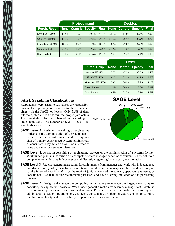|                    |          |          | <b>Project mgmt</b>                             |          | <b>Desktop</b> |          |         |              |
|--------------------|----------|----------|-------------------------------------------------|----------|----------------|----------|---------|--------------|
| Purch. Resp.       |          |          | None Contrib Specify Final None Contrib Specify |          |                |          |         | <b>Final</b> |
| Less than US\$500  | $11.8\%$ | $13.7\%$ | $30.4\%$                                        | $44.1\%$ | 24.1%          | 14.8%    | 42.6%   | $18.5\%$     |
| US\$500-US\$5000   | $14.7\%$ | 18.6%    | 37.3%                                           | $29.4\%$ | 31.5%          | 25.9%    | 38.9%   | 3.7%         |
| More than US\$5000 | $16.7\%$ | $25.5\%$ | 41.2%                                           | $16.7\%$ | $40.7\%$       | 29.6%    | 27.8%   | $1.9\%$      |
| Group Budget       | 27.5%    | $30.4\%$ | $19.6\%$                                        | 22.5%    | 51.9%          | 37.0%    | $9.3\%$ | $1.9\%$      |
| Dept. Budget       | 32.4%    | $30.4\%$ | 21.6%                                           | $15.7\%$ | 57.4%          | $35.2\%$ | 7.4%    | $0.0\%$      |

|                    | <b>Other</b> |                             |          |          |  |  |  |  |  |  |
|--------------------|--------------|-----------------------------|----------|----------|--|--|--|--|--|--|
| Purch. Resp.       |              | <b>None Contrib Specify</b> |          | Final    |  |  |  |  |  |  |
| Less than US\$500  | $27.7\%$     | 17.3%                       | 33.5%    | 21.4%    |  |  |  |  |  |  |
| US\$500-US\$5000   | 30.1%        | 23.1%                       | 34.1%    | $12.7\%$ |  |  |  |  |  |  |
| More than US\$5000 | 37.0%        | $26.0\%$                    | 28.9%    | 8.1%     |  |  |  |  |  |  |
| Group Budget       | 51.4%        | 26.6%                       | $15.0\%$ | $6.9\%$  |  |  |  |  |  |  |
| Dept. Budget       | 59.5%        | 23.7%                       | 12.1%    | 4.6%     |  |  |  |  |  |  |

### **SAGE Sysadmin Classifications**

The remainder classified themselves according to SAGE Level 4 Respondents were asked to self-assess the responsibilities of their primary job in order to show the mappings with the SAGE job levels. Only 3.5% of them felt their job did not fit within the proper parameters. these definitions. The number of SAGE Level 1 respondents was very low.

**SAGE Level 1:** Assist on consulting or engineering projects or the administration of a systems facility. Perform routine tasks under the direct supervision of a more experienced system administrator or consultant. May act as a front-line interface to users and senior system administrators.



- **SAGE Level 2**: Assist on consulting or engineering projects or the administration of a systems facility. Work under general supervision of a computer system manager or senior consultant. Carry out more complex tasks with some independence and discretion regarding how to carry out the tasks.
- **SAGE Level 3**: Receive general instructions for assignments from manager and work with independence and discretion regarding how to carry out tasks. Initiate some new responsibilities and help to plan for the future of a facility. Manage the work of junior system administrators, operators, engineers, or consultants. Evaluate and/or recommend purchases and have a strong influence on the purchasing process.
- **SAGE Level 4**: Design and manage the computing infrastructure or manage the larger, more complex consulting or engineering projects. Work under general direction from senior management. Establish or recommend policies on system use and services. Provide technical lead and/or supervise system administrators, system programmers, engineers, consultants, or others of equivalent seniority. Have purchasing authority and responsibility for purchase decisions and budget.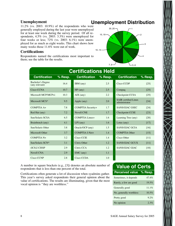### **Unemployment**

11.2% (vs. 2003: 10.9%) of the respondents who were generally employed during the last year were unemployed for at least one week during the survey period. Of all respondents, 4.5% (vs. 2003: 3.3%) were unemployed for four weeks or less;  $72\%$  (vs. 2003: 6.1%) were unemployed for as much as eight weeks. This chart shows how many weeks those 11.6% were out of work.

### **Certifications**

Respondents named the certifications most important to them; see the table for the results.

### **Unemployment Distribution**



| <b>Certifications Held</b>                 |         |                      |         |                                              |         |  |  |  |
|--------------------------------------------|---------|----------------------|---------|----------------------------------------------|---------|--|--|--|
| <b>Certification</b>                       | % Resp. | <b>Certification</b> | % Resp. | <b>Certification</b>                         | % Resp. |  |  |  |
| <b>Bachelor's Degree</b><br>(any relevant) | 16.4    | IBM (any)            | 2.5     | Cisco CCDP                                   | [25]    |  |  |  |
| Cisco CCNA                                 | 10.7    | $HP$ (any)           | 2.5     | Compaq                                       | [25]    |  |  |  |
| Microsoft MCP/MCP+i                        | 10.3    | $\angle$ AIX (any)   | 2.2     | Checkpoint CCSA                              | $[25]$  |  |  |  |
| Microsoft MCS*                             | 9.5     | Apple (any)          | 2.0     | <b>SAIR</b> certified Linux<br>administrator | $[24]$  |  |  |  |
| $COMPTIAA+$                                | 7.8     | COMPTIA Security+    | 1.7     | SANS/GIAC GSEC                               | $[24]$  |  |  |  |
| Red Hat (any)                              | 7.2     | <b>Novell CNE</b>    | 1.7     | Checkpoint CCSE                              | $[23]$  |  |  |  |
| Sun/Solaris SCSA                           | 6.5     | COMPTIA Linux+       | 1.6     | Learning Tree (any)                          | [20]    |  |  |  |
| Brainbench (any)                           | 4.1     | $LPI$ (any)          | 1.6     | Lotus (any)                                  | $[17]$  |  |  |  |
| Sun/Solaris Other                          | 3.8     | Oracle/OCP (any)     | 1.5     | SANS/GIAC GCIA                               | [16]    |  |  |  |
| Microsoft Other                            | 3.7     | COMPTIA I-Net+       | 1.4     | <b>COMPTIA Other</b>                         | [15]    |  |  |  |
| $COMPTIA N+$                               | 3.2     | <b>Cisco CCIE</b>    | 1.4     | Cisco Other                                  | [11]    |  |  |  |
| Sun/Solaris SCN*                           | 3.1     | Citrix Other         | 1.2     | <b>SANS/GIAC GCUX</b>                        | [11]    |  |  |  |
| (ICS)2 CISSP                               | 2.9     | Citrix CCA           | 1.2     | <b>SANS/GIAC GIAC</b>                        | $[10]$  |  |  |  |
| <b>Novell CNA</b>                          | 2.9     | EMC (any)            | 1.1     |                                              |         |  |  |  |
| Cisco CCNP                                 | 2.8     | Cisco CCDA           | 1.0     |                                              |         |  |  |  |

A number in square brackets (e.g., [3]) denotes an absolute number of respondents that is less than one percent of the total.

Certifications often generate a lot of discussion when syadmins gather. This year's survey asked respondents their general opinion about the value of certifications. The results are illuminating, given that the most vocal opinion is ''they are worthless.''

### **Value of Certs**

| Perceived value % Resp. |       |
|-------------------------|-------|
| Sometimes, it depends   | 47.4% |
| Rarely, a few are good  | 19.5% |
| Generally good          | 11.1% |
| No, generally worthless | 10.5% |
| Pretty good             | 9.2%  |
| No opinion              | 2.3%  |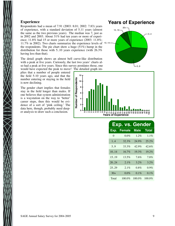### **Experience**

 $11.7\%$  in 2002). Two charts summarize the experience levels of  $10.14$ Respondents had a mean of 7.91 (2003: 8.01; 2002: 7.83) years of experience, with a standard deviation of 5.11 years (almost the same as the two previous years). The median was 7, just as in 2002 and 2003. About 31% had ten years or more of experience; 11.8% had 15 or more years of experience (2003: 11.8%; the respondents. The pie chart show a huge (51%) hump in the distribution for those with 5..10 years experience (with 26.3% having less than that).

The detail graph shows an almost bell curve-like distribution with a peak at five years. Curiously, the last two years' charts also had a peak at five years. Since this survey postdates those, one would have expected the peak to move! The detailed graph im-

plies that a number of people entered the field 5-10 years ago, and that the number entering or staying in the field is now declining.

The gender chart implies that females stay in the field longer than males. If one believes that system administration is a waystation on the way to 'better' career steps, then this would be evidence of a sort of 'pink ceiling.' The data here, though, probably need deeper analysis to draw such a conclusion.

### **Years of Experience**





|           | <b>Exp. vs. Gender</b> |             |              |
|-----------|------------------------|-------------|--------------|
| Exp.      | <b>Female</b>          | <b>Male</b> | <b>Total</b> |
| $\Omega$  | 0.0%                   | $1.2\%$     | $1.1\%$      |
| $1\quad4$ | 32.3%                  | 24.9%       | 25.2%        |
| 5.9       | 33.3%                  | $42.9\%$    | 42.6%        |
| 10.14     | $16.7\%$               | 19.3%       | 19.2%        |
| 15.19     | $13.5\%$               | 7.6%        | 7.8%         |
| 20.24     | 2.1%                   | 3.2%        | $3.2\%$      |
| 25.29     | 2.1%                   | $0.8\%$     | $0.9\%$      |
| $30+$     | 0.0%                   | 0.1%        | 0.1%         |
| Total     | $100.0\%$              | $100.0\%$   | $100.0\%$    |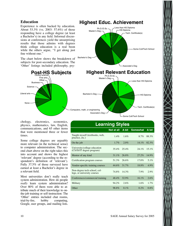### **Education**

Experience is often backed by education. About 53.3% (vs. 2003: 57.6%) of those responding have a college degree (at least a Bachelor's) in any field. Informal discussions at conferences yield the unsurprising results that those admins with degrees think college education is a real boon while the others argue, "I get along just



Master's Deg

Ph.D./D.Sc.

chology, electronics, economics, physics, mathematics, law, English, communications, and 65 other items that were mentioned three or fewer times.

Some college degrees are arguably more relevant (in the technical sense) to computer administration. The second chart above on the right takes this into account and shows the highest 'relevant' degree (according to the respondent's definition of 'relevant'). Fully 37.5% of those surveyed have earned at least a Bachelor's degree in a relevant field.

Most universities don't really teach system administration. How do people *really* learn system administration? Over 80% of them were able to attribute much of their knowledge to onthe-job training or self-instruction: The 'Other' entries included chat rooms, trial-by-fire, hobby computing, Google, user groups, and mailing lists.

| <b>Learning Styles</b>                                      |                   |         |                 |          |  |  |  |
|-------------------------------------------------------------|-------------------|---------|-----------------|----------|--|--|--|
|                                                             | <b>Not at all</b> | A bit   | <b>Somewhat</b> | A lot    |  |  |  |
| Taught myself (textbooks, web,<br>practice, etc.)           | $1.4\%$           | 1.6%    | 8.7%            | 88.3%    |  |  |  |
| On the job                                                  | $1.7\%$           | 2.0%    | 14.1%           | 82.3%    |  |  |  |
| University/college education<br>(CS/IS/IT degree program)   | $35.4\%$          | 25.4%   | 24.1%           | $15.1\%$ |  |  |  |
| Mentor of any kind                                          | 31.1%             | 26.8%   | 27.2%           | 14.9%    |  |  |  |
| Certification program courses                               | 51.3%             | 26.6%   | $17.0\%$        | 5.1%     |  |  |  |
| Vendor-specific training courses                            | 44.6%             | 31.7%   | 18.8%           | 4.9%     |  |  |  |
| Non-degree tech school, col-<br>lege, or university courses | 74.8%             | 14.3%   | 7.9%            | 2.9%     |  |  |  |
| Conferences/commercial training                             | 48.4%             | 32.9%   | 16.1%           | 2.6%     |  |  |  |
| Military                                                    | 94.2%             | 2.6%    | 1.6%            | $1.7\%$  |  |  |  |
| Other                                                       | 98.8%             | $0.1\%$ | $0.2\%$         | $0.8\%$  |  |  |  |

### **Highest Educ. Achievement** Less than HS Diploma

HS Diploma

Tech. Certificate(s)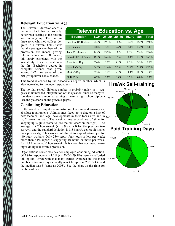### **Relevant Education vs. Age**

The Relevant Education chart is the rare chart that is probably better read starting at the bottom and moving up. The bottom three rows (finished college degrees in a relevant field) show that the younger members of the profession are indeed getting relevant education. Of course, this surely correlates with the availability of such education − the first Bachelor's degree in computer science was given around 1974, so some of the 50+ group never had a chance.

| <b>Relevant Education vs. Age</b> |          |          |          |          |          |              |  |  |
|-----------------------------------|----------|----------|----------|----------|----------|--------------|--|--|
| <b>Education</b>                  | 124      | 2529     | 3039     | 4049     | $50+$    | <b>Total</b> |  |  |
| Less than HS Diploma              | 21.9%    | 19.1%    | 19.2%    | $15.0\%$ | $16.5\%$ | $19.0\%$     |  |  |
| <b>HS</b> Diploma                 | 3.8%     | $6.8\%$  | $9.9\%$  | $13.1\%$ | $10.6\%$ | $8.4\%$      |  |  |
| Tech. Certificate(s)              | $12.2\%$ | $13.2\%$ | $13.7\%$ | $8.9\%$  | $9.4\%$  | 12.6%        |  |  |
| Some Coll/Tech School             | $16.9\%$ | $16.4\%$ | 17.5%    | $14.4\%$ | 18.8%    | $16.7\%$     |  |  |
| Associate's Deg                   | 7.4%     | 6.0%     | $4.9\%$  | $6.7\%$  | 3.5%     | 5.8%         |  |  |
| Bachelor's Deg                    | 34.5%    | $31.4\%$ | 27.5%    | 28.9%    | $29.4\%$ | 29.9%        |  |  |
| Master's Deg                      | 2.5%     | 6.5%     | 7.0%     | $11.4\%$ | 11.8%    | 6.9%         |  |  |
| Ph.D./D.Sc.                       | $0.7\%$  | $0.7\%$  | $0.4\%$  | $1.7\%$  | $0.0\%$  | $0.7\%$      |  |  |

This trend is echoed by the Associate's degree number, which is also increasing for younger respondents.

The no-high-school diploma number is probably noisy, as it suggests an unintended interpretation of the question, since so many respondents already reported earning at least a high school diploma (see the pie charts on the previous page).

#### **Continuing Education**

new technical and legal developments in their focus area and in <sub>10.14</sub> In the world of computer administration, learning and growing are absolute requirements. Admins must keep up to date on a host of 'soft' areas, as well. The weekly time expenditure of time for keeping up is quite dramatic (see the first chart on the right). The average is 9.2 hours/week (vs. 8.9 and 9.0 for the previous two surveys) and the standard deviation is 8.3 hours/week (a bit higher than previously). This works out almost to a quarter-time job for '40 hour' workers. Only 23% report four hours or less per week; more than 44% report a staggering 10 hours or more per week. Just 1.1% reported 0 hours/week. It is clear that continued learning is de rigueur for this profession.

Organizations sometimes pay for employee continuing education. Of 2,976 respondents, 41.1% (vs. 2003's 39.7%) were not afforded this option. Even with that many zeroes averaged in, the mean number of training days annually was 4.8 (up from 2003's 4.4) and the median was 3 (same as 2003). See the chart on the right for the breakdown.

### **Hrs/wk Self-training**

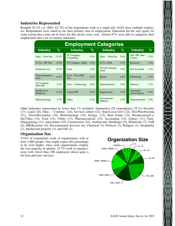### **Industries Represented**

Roughly 83.2% (vs. 2003: 82.7%) of the respondents work at a single job; 16.8% have multiple employers. Respondents were asked to cite their primary area of employment. Education led the way again; for some reason they come out in force for this survey every year. Almost 87% were able to categorize their employment into a set of canonic industries.

| <b>Employment Categories</b> |          |                           |               |                          |         |                             |         |  |  |  |
|------------------------------|----------|---------------------------|---------------|--------------------------|---------|-----------------------------|---------|--|--|--|
| <b>Industry</b>              | %        | <b>Industry</b>           | $\frac{9}{6}$ | <b>Industry</b>          | $\%$    | <b>Industry</b>             | %       |  |  |  |
| Educ. - Post-Sec             | $12.5\%$ | IT Company:<br>Consulting | $3.5\%$       | Educ. - Prim/Sec         | $2.0\%$ | Adv, PR, Mar-<br>Comm       | 1.5%    |  |  |  |
| IT Co.: SW Dev               | $6.9\%$  | IT Company: Other         | $3.0\%$       | IT Co: Web               | $1.9\%$ | Research                    | 1.4%    |  |  |  |
| Financial svcs               | $6.5\%$  | Cons.                     | $2.9\%$       | Ins/risk manage-<br>ment | $1.8\%$ | Not-for-profit              | $1.3\%$ |  |  |  |
| Telecommunica-<br>tions      | $6.4\%$  | Govt - Non-Mili-<br>tary  | $2.9\%$       | Retail                   | $1.8\%$ | Publishing                  | 1.3%    |  |  |  |
| IT Company:<br>ISP/ASP       | $5.1\%$  | Govt - Contracting        | $2.8\%$       | Entertainment            | $1.8\%$ | Defense                     | 1.3%    |  |  |  |
| Health Care,<br>Medicine     | $4.1\%$  | Comp HW                   | $2.8\%$       | Engineering              | $1.7\%$ | Aeronauti-<br>cal/aerospace | 1.0%    |  |  |  |
| Manufacturing                | $3.7\%$  | Other                     | 2.4%          | Government -<br>Military | $1.6\%$ | Transportation              | $1.0\%$ |  |  |  |

Other industries represented by fewer than 1% included: Automotive (28 respondents), IT Co./Security (27), Legal (24), Educ. − Commer. (24), Services (other) (22), State/Local Govt (22), Dist/Warehousing (21), Travel/Recreation (18), Biotechnology (16), Energy (15), Real Estate (15), Broadcasting/Cable/Video (14), Food (14), Utility (13), Pharmaceuticals (13), Accounting (12), Library (11), Gambling/gaming (11), Agriculture (10), Construction (10), Architecture (buildings) (9), Wholesale (7), VAR (6), HR/Recruiter (6), Environmental Services (6), Chemical (3), Political (3), Religion (3), Hospitality (2), Intellectual property (2), and GIS (2).

### **Organization Size**

53.0% of respondents work in organizations with at least 1,000 people. One might expect this percentage to be even higher, since such organizations employ the vast majority of admins. 23.7% work in organizations with fewer than 100 employees (down quite a bit from previous surveys).

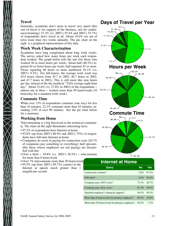### **Travel**

Generally, sysadmins don't seem to travel very much (this sort of travel is for support of the business, not for conferences/training); 53.3% (vs. 2003's 55.4% and 2002's 53.7%) of respondents don't travel at all. About 18.0% are out of town more than two weeks annually. The pie chart on the right is a graphical representation of this data.

### **Work Week Characterization**

Sysadmins have long complained about long work weeks. The survey asked how many hours per week each respondent worked. The graph below tells the tale (for those who worked 30 or more hours per week). About half (48.5%) reported 44 or fewer hours per week; half reported 45 or more. Those reporting 60 hours or more numbered 10.1% (vs. 2003's 9.3%). For full-timers, the average work week was 45.6 hours (down from 45.7 in 2003, 46.7 hours in 2002, and 47.7 hours in 2001). This is still more like nine hours per day instead of the the mythical ''USA average eight hour day.'' About 32.6% (vs. 27.8% in 2002) of the respondents − almost one in three − worked more than 50 hours/week (10 hours/day for a standard work week).

### **Commute Time**

While over 13% of respondents commute (one way) for less than 10 minutes, 22.1% commute more than 45 minutes, including 2.9% at over 90 minutes. See the pie chart below for a summary.

### **Working from Home**

Telecommuting is a big buzzword in the technical community. The chart on the right illuminates interesting facts:

- 97.2% of respondents have Internet at home
- 93.6% (up from 2003's 88.9% and 2002's 75%) of respondents have full-time Internet at home
- Companies do assist in paying for connection costs (26.7%) of companies pay something or everything); half (presumably those whose employers are not paying) are dissatisfied with this
- Over a third  $-39.8\%$  (vs. 2003's 38.5%) telecommute for more than 8 hours/week
- Over 7% telecommute more than 30 hours/week
- 95.5% (up from 2003's 89.7%) connect to the Internet at speeds much greater than 1 megabit per second



### **Internet at Home**

| Query                                         | <b>No</b>   | Yes           |
|-----------------------------------------------|-------------|---------------|
| Connection at home?                           | $2.8\%$     | 97.2%         |
| Full-time?                                    |             | $6.4\%$ 93.6% |
| Company pays ANY costs?                       | 73.3% 26.7% |               |
| Company pays ALL costs?                       | $81.2\%$    | 18.8%         |
| Satisfied employer's financial support?       | $49.5\%$    | $50.5\%$      |
| More than 8 hours/week for primary employer?  | $60.2\%$    | 39.8%         |
| More than 30 hours/week for primary employer? | $92.8\%$    | $7.2\%$       |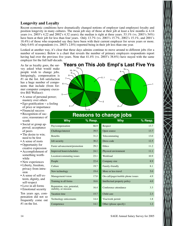### **Longevity and Loyalty**

Recent economic conditions have dramatically changed notions of employer (and employee) loyalty and position longevity in many cultures. The mean job stay of those at their job at least a few months is 4.14 years (vs. 2003's 4.22 and 2002's 4.32 years); the median is right at three years. 53.1% (vs. 2003's 54%) have been at their job for less than four years. Only 13.7% (vs. 2003's 15.7%, 2002's 15.1%, and 2001's 18.4%) of those who responded say they have been with their current employer for seven years or more. Only 0.6% of respondents (vs. 2003's 2.8%) reported being in their job less than one year.

Looked at another way, it's clear that these days admins continue to move around to different jobs (for a number of reasons). Below is a chart that reveals the number of primary employers respondents report having had over the previous five years. Note that  $41.4\%$  (vs. 2003's 38.6%) have stayed with the same employer for the full half-decade.

3

As far as loyalty goes, the survey asked what would make people wish to change jobs. Intriguingly, compensation is #1 on the list. Job satisfaction has a huge number of components that include (from former computer company executive Bill Wallace):

- A sense of personal power; mastery over others
- Ego-gratification − a feeling of price or importance
- Financial success
- Recognition of success; reassurance of worth
- Social or group approval; acceptance of peers
- The desire to win; need to be first
- A sense of roots
- Opportunity for creative expression
- Accomplishment of something worthwhile
- New experiences
- Liberty, freedom, privacy from intrusion
- A sense of self-esteem, dignity, and self-respect
- Love in all forms

• Emotional security Ten years ago, compensation did not so frequently come out #1 on the list.



| Why                                                   | <u>%</u> Resp. | Why                               | $%$ Resp. |
|-------------------------------------------------------|----------------|-----------------------------------|-----------|
| Pay/compensation                                      | 66.9           | Respect                           | 13.7      |
| Challenge/interest                                    | 39.5           | Open source                       | 13.7      |
| <b>Benefits</b>                                       | 31.2           | Telecommuting                     | 13.0      |
| Job security                                          | 30.2           | Dress code                        | 12.5      |
| Faster advancement/promotion                          | 29.2           | Ethics                            | 11.2      |
| Improved hours/schedules                              | 24.1           | Physical environment              | 11.1      |
| Location/commuting issues                             | 23.1           | Workload                          | 10.9      |
| People                                                | 22.4           | Company size                      | 8.9       |
| Culture                                               | 19.7           | Family-friendly                   | 8.1       |
| New technology                                        | 19.4           | More or less travel               | 5.0       |
| Management/vision                                     | 17.0           | On-call/pager/mobile phone issues | 4.9       |
| Training in all forms                                 | 16.6           | Intellectual property policy      | 4.0       |
| Reputation, size, potential,<br>stability, or mission | 16.4           | Conference attendance             | 3.3       |
| Vacation time                                         | 15.7           | Child care                        | 2.3       |
| Technology enticements                                | 14.4           | Visa/work permit                  | 1.8       |
| Competence                                            | 14.1           | Other (please specify)            | 1.2       |

# **Reasons to change jobs**

| wny                               | % Resp. |
|-----------------------------------|---------|
| Respect                           | 13.7    |
| Open source                       | 13.7    |
| Telecommuting                     | 13.0    |
| Dress code                        | 12.5    |
| Ethics                            | 11.2    |
| Physical environment              | 11.1    |
| Workload                          | 10.9    |
| Company size                      | 8.9     |
| Family-friendly                   | 8.1     |
| More or less travel               | 5.0     |
| On-call/pager/mobile phone issues | 4.9     |
| Intellectual property policy      | 4.0     |
| Conference attendance             | 3.3     |
| Child care                        | 2.3     |
| Visa/work permit                  | 1.8     |
| Other (please specify)            | 1.2     |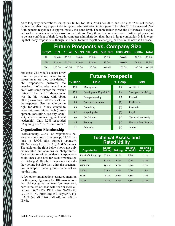As to longevity expectations, 79.9% (vs. 80.6% for 2003, 79.4% for 2002, and 75.8% for 2001) of respondents report that they expect to be in system administration in five years. The other 20.1% answered 'No.' Both genders responded at approximately the same level. The table below shows the differences in expectations for members of various sized organizations: Only those in companies with 10-49 employees tend to be less confident of their future in computer administration than those in large companies. It is interesting that many respondents, though, still seem to think they'll be changing careers in the next half decade.

|                | <b>Future Prospects vs. Company Size</b> |           |          |           |           |                                                 |           |           |  |  |
|----------------|------------------------------------------|-----------|----------|-----------|-----------|-------------------------------------------------|-----------|-----------|--|--|
| Stay?          |                                          |           |          |           |           | 09 1049 5099 100499 500999 10004999 5000+ Total |           |           |  |  |
| N <sub>0</sub> | $18.6\%$                                 | $27.0\%$  | $19.0\%$ | $17.0\%$  | $17.0\%$  | $20.0\%$                                        | $20.2\%$  | $20.1\%$  |  |  |
| Yes            | $81.4\%$                                 | 73.0%     | 81.0%    | 83.0%     | 83.0%     | $80.0\%$                                        | 79.8%     | 79.9%     |  |  |
| Total          | $100.0\%$                                | 100 $0\%$ | 100.0%   | $100.0\%$ | $100.0\%$ | $100.0\%$                                       | 100 $0\%$ | $100.0\%$ |  |  |

For those who would change away from the profession, what future career areas are they considering? 566 respondents answered the question, ''What else would you do?'' with some answer that wasn't ''Stay in the field.'' Management was the big winner, with about 20% (down from 2003's 25%) of the responses. See the table on the right for details. Many wanted to move into even higher tech (development, consulting, security, architect, network engineering, technical leadership). Only 5.2% responded ''Anything else'' or ''Don't know.''

#### **Organization Membership**

Professionally, 22.4% of respondents belong to some local user group; 12.2% belong to SAGE (this survey's sponsor); 10.6% belong to USENIX (SAGE's parent). The table on the right below shows not only membership but opinions on 'helpfulness' for the total set of respondents. Respondents could check one box for each organization so 'Belong & Helpful' means not only do they belong but also they think the organization is helpful. Local groups came out on top this time.

A few other organizations garnered mention for this query. Ignoring the 184 associations that did not garner at least four mentions, here is the list of those with four or more citations: ISC2 (17), ISSA (16), SAGE-AU (9), BCS (6), InfraGard (5), BayLISA (4). ISACA (4), MCP (4), PMI (4), and SAGE-IE (4),

|           | <b>Future Prospects</b> |                   |                       |
|-----------|-------------------------|-------------------|-----------------------|
| $%$ Resp. | <b>Field</b>            | % Resp.           | <b>Field</b>          |
| 19.8      | Management              | 1.7               | Architect             |
| 17.8      | Development/Engr/R&D    | 1.4               | Sales/pre-sales/Mktg  |
| 4.8       | Entrepreneurship        | 1.2               | Retired               |
| 3.9       | Continue education      | [7]               | Real estate           |
| 3.3       | Consulting              | [6]               | Research              |
| 3.2       | Anything else           | $\lceil 5 \rceil$ | Legal                 |
| 3.0       | Don't know              | [4]               | Technical leadership  |
| 2.5       | Security                | [4]               | Network Engr/Security |
| 2.2       | Education               | [4]               | Author                |

### **Technical Assns. and Rated Utility**

| <b>Organization</b>  | Do not<br>belong | <b>Belong</b> | <b>Belong</b><br>& helpful | <b>Belong &amp;</b><br>very helpful |
|----------------------|------------------|---------------|----------------------------|-------------------------------------|
| Local affinity group | 77.6%            | $8.1\%$       | 8.9%                       | $5.4\%$                             |
| <b>SAGE</b>          | 87.8%            | $3.1\%$       | 6.2%                       | 3.0%                                |
| <b>USENIX</b>        | 89.4%            | $3.7\%$       | $4.7\%$                    | 2.2%                                |
| <b>SANS</b>          | $92.9\%$         | 2.4%          | 2.9%                       | $1.8\%$                             |
| <b>IEEE</b>          | 94.2%            | 2.9%          | 1.8%                       | $1.1\%$                             |
| <b>ACM</b>           | 94.0%            | 3.2%          | $1.8\%$                    | 1.0%                                |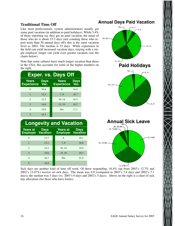### **Traditional Time Off**

Like most professionals, system administrators usually get some paid vacation (in addition to paid holidays). While 5.4% of those reporting say they get no paid vacation, the mean of those who do is about 15.2 days (not counting those who report more than 30 annual days off); this is the same vacation level as 2003. The median is 15 days. While experience in the field can yield increased vacation days, staying with a single employer longer can yield even greater vacation (see the charts below).

Note that some cultures have much longer vacation than those in the USA; this accounts for some of the higher numbers on the right.

| <b>Exper. vs. Days Off</b>        |                     |                                   |                     |  |  |
|-----------------------------------|---------------------|-----------------------------------|---------------------|--|--|
| <b>Years</b><br><b>Experience</b> | <b>Days</b><br>Vac. | <b>Years</b><br><b>Experience</b> | <b>Days</b><br>Vac. |  |  |
| $\Omega$                          | 10.4                | 6                                 | 16.4                |  |  |
| 1                                 | 12.4                | 7.9                               | 16.7                |  |  |
| $\mathcal{D}_{\mathcal{A}}$       | 13.2                | 10.14                             | 16.3                |  |  |
| 3                                 | 14.0                | 15.19                             | 16.7                |  |  |
| 4                                 | 15.0                | $20+$                             | 17.1                |  |  |
| 5                                 | 16.3                |                                   |                     |  |  |

| <b>Longevity and Vacation</b>               |             |                                             |             |  |  |
|---------------------------------------------|-------------|---------------------------------------------|-------------|--|--|
| <b>Years at</b><br><b>Employer Vacation</b> | <b>Days</b> | <b>Years at</b><br><b>Employer Vacation</b> | <b>Days</b> |  |  |
| 0                                           | 13.7        | 6                                           | 18.1        |  |  |
|                                             | 13.1        | 7.9                                         | 18.9        |  |  |
| $\mathcal{D}_{\mathcal{A}}$                 | 14.3        | 10.14                                       | 19.4        |  |  |
| 3                                           | 15.6        | 15.19                                       | 19.7        |  |  |
|                                             | 16.7        | $20+$                                       | 21.4        |  |  |

5 16.9

Sick days are another kind of time off work. Of those responding, 16.4% (up from 2003's 12.7% and 2002's 12.07%) receive no sick days. The mean was 6.9 (compared to 2003's 7.4 days and 2002's 7.1 days); the median was 5 days (vs. 2003's 6 days and 2002's 5 days). Above on the right is a chart of sick day allocation (for those who have limits).

### **Annual Days Paid Vacation**

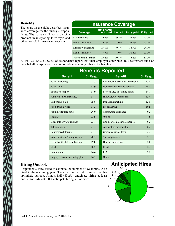#### **Benefits**

The chart on the right describes insurance coverage for the survey's respondents. The survey still has a bit of a problem in integrating Euro-style and other non-USA insurance programs.

| <b>Insurance Coverage</b> |                                   |               |                    |                   |  |  |
|---------------------------|-----------------------------------|---------------|--------------------|-------------------|--|--|
| <b>Coverage</b>           | <b>Not offered</b><br>or not used | <b>Unpaid</b> | <b>Partly paid</b> | <b>Fully paid</b> |  |  |
| Life insurance            | $25.2\%$                          | $9.5\%$       | $37.7\%$           | $27.7\%$          |  |  |
| Health insurance          | $13.1\%$                          | 4.0%          | 55.8%              | 27.0%             |  |  |
| Disability insurance      | 29.1%                             | $9.4\%$       | 36.9%              | 24.7%             |  |  |
| Dental insurance          | 19.5%                             | 8.0%          | 51.6%              | 20.9%             |  |  |
| Vision care insurance     | 27.2%                             | 10.4%         | $45.2\%$           | 17.2%             |  |  |

73.1% (vs. 2003's 75.2%) of respondents report that their employer contributes to a retirement fund on their behalf. Respondents also reported on receiving other extra benefits.

| <b>Benefits Reported</b>      |         |                                      |         |  |  |  |
|-------------------------------|---------|--------------------------------------|---------|--|--|--|
| <b>Benefit</b>                | % Resp. | <b>Benefit</b>                       | % Resp. |  |  |  |
| $401(k)$ matching             | 41.5    | Flexible/cafeteria plan for benefits | 15.0    |  |  |  |
| $401(k)$ , etc.               | 38.9    | Domestic partnership benefits        | 14.3    |  |  |  |
| <b>Education</b> support      | 37.9    | Performance or signing bonus         | 14.1    |  |  |  |
| Family medical insurance      | 37.7    | Hardware/telecomm assis              | 13.4    |  |  |  |
| Cell phone (paid)             | 35.8    | Donation matching                    | 13.0    |  |  |  |
| Food/drink at work            | 31.3    | Profit sharing                       | 10.5    |  |  |  |
| Flextime/flexible hours       | 26.9    | Commuting assistance                 | 9.2     |  |  |  |
| Parking                       | 23.8    | 403(b)                               | 7.6     |  |  |  |
| Discounts of various kinds    | 23.1    | Child care/childcare assistance      | 6.2     |  |  |  |
| Telecommuting                 | 2.1.4   | Association memberships              | 6.2     |  |  |  |
| Conference/tutorials          | 21.1    | Company car (or lease)               | 3.3     |  |  |  |
| Retirement plan/fund/program  | 20.7    | Special pensions                     | 3.1     |  |  |  |
| Gym, health club membership   | 19.8    | Housing/home loan                    | 2.6     |  |  |  |
| <b>Stock</b>                  | 18.5    | <b>RRSP</b>                          | 2.4     |  |  |  |
| Credit union                  | 16.6    | <b>IRA</b>                           | 2.2.    |  |  |  |
| Employee stock ownership plan | 16.5    | Other                                | 1.7     |  |  |  |

### **Hiring Outlook**

Respondents were asked to estimate the number of sysadmins to be hired in the upcoming year. The chart on the right summarizes this optimistic outlook. Almost half (49.2%) anticipate hiring at least one person. Almost 9.0% anticipate hiring ten or more.

### **Anticipated Hires**

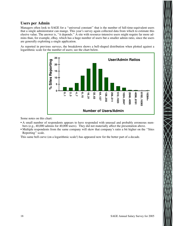### **Users per Admin**

Managers often look to SAGE for a ''universal constant'' that is the number of full-time-equivalent users that a single administrator can mange. This year's survey again collected data from which to estimate this elusive value. The answer is, ''it depends.'' A site with resource-intensive users might require far more admins than, for example, eBay, which has a huge number of users but a smaller admin ratio, since the users are generally exploiting a single application.

As reported in previous surveys, the breakdown shows a bell-shaped distribution when plotted against a logarithmic scale for the number of users; see the chart below.



Some notes on this chart:

- A small number of respondents appears to have responded with unusual and probably erroneous numbers (e.g., 40,000 admins for 40,000 users). They did not materially affect the presentation above.
- Multiple respondents from the same company will skew that company's ratio a bit higher on the ''Sites Reporting'' scale.

This same bell curve (on a logarithmic scale!) has appeared now for the better part of a decade.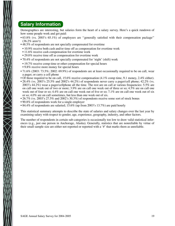### **Salary Information**

Demographics are interesting, but salaries form the heart of a salary survey. Here's a quick rundown of how some people work and get paid:

- 63.8% (vs. 2003's 65.1%) of employees are ''generally satisfied with their compensation package'' (36.2% aren't)
- 48.5% of respondents are not specially compensated for overtime
- 10.9% receive both cash and/or time off as compensation for overtime work
- 11.6% receive cash compensation for overtime work
- 29.0% receive time off as compensation for overtime work
- 70.4% of respondents are not specially compensated for 'night' (shift) work
- 19.7% receive comp time or other compensation for special hours
- 9.8% receive more money for special hours
- 71.6% (2003: 73.5%; 2002: 69.9%) of respondents are at least occasionally required to be on call, wear a pager, or carry a cell phone
- Of those required to be on call, 15.6% receive compensation (4.1% comp time, 9.1 money, 2.4% either).
- 28.4% (vs. 2003's 25.5% and 2002's 44.2%) of respondents never carry a pager/cell phone; 42.2% (vs. 2003's 44.2%) wear a pager/cellphone all the time. The rest are on call at various frequencies: 5.5% are on call one week out of two or more; 3.9% are on call one week out of three or so; 4.5% are on call one week out of four or so; 4.4% are on call one week out of five or so; 7.1% are on call one week out of six or so; 4.0% are on call sometimes, but less than one week out of six.
- 26.7% (vs. 2003's 27.5% and 2002's 30.3%) of respondents receive some sort of stock bonus
- 90.8% of respondents work for a single employer
- 84.4% of respondents are salaried;  $15.6\%$  (up from 2003's 13.7%) are paid hourly

This statistical summary attempts to describe the state of salaries and salary changes over the last year by examining salary with respect to gender, age, experience, geography, industry, and other factors.

The number of respondents in certain sub-categories is occasionally too low to draw valid statistical inferences (e.g., just one person in Anchorage, Alaska). Generally, statistics that are nonreliable by virtue of their small sample size are either not reported or reported with a '#' that marks them as unreliable.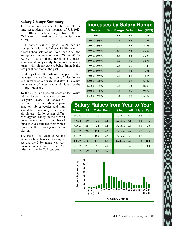### **Salary Change Summary**

The average salary change for those 2,103 fulltime respondents with incomes of US\$10K-US\$200K with salary changes from -30% to 30% (from all nations and currencies) was 6.12%.

8.0% earned less this year; 24.1% had no change in salary. Of those 75.9% who increased their salaries no more than 30%, the average increase increase was 9.2% (vs. 2003's 8.2%). In a surprising development, raises were spread fairly evenly throughout the salary range, with higher earners being dramatically less penalized than in the past.

Unlike past results, where it appeared that managers were allotting a pot of raise-dollars to a number of variously paid staff, this year's dollar-value of raises was *much* higher for the \$100K+ brackets.

To the right is an overall chart of last year's

salary changes, calculated against last year's salary − and shown by gender. It does not show experience or job categories and thus should be viewed only as an overall picture. Little gender difference appears except in the highest range, where the small number of females gives statistics from which it is difficult to draw a general conclusion.

The page's final chart shows the various salary changes. It's easy to see that the 2-5% range was very popular in addition to the "no raise" and the 16..20% options.

|                 | <b>Increases by Salary Range</b> |      |        |
|-----------------|----------------------------------|------|--------|
| Range           | % in Range % Incr Incr (US\$)    |      |        |
| < 20,000        | 1.5                              | 4.7  | 781    |
| 20,000-29,999   | 4.3                              | 5.2  | 1,343  |
| 30,000-39,999   | 10.1                             | 6.6  | 2,258  |
| 40,000-49,999   | 13.9                             | 7.6  | 3,389  |
| 50,000-59,999   | 15.3                             | 6.6  | 3,554  |
| 60,000-69,999   | 13.6                             | 5.6  | 3,576  |
| 70,000-79,999   | 12.3                             | 6.1  | 4,444  |
| 80,000-89,999   | 9.5                              | 5.2  | 4,331  |
| 90,000-99,999   | 7.6                              | 4.9  | 4,565  |
| 100,000-124,999 | 8.1                              | 5.9  | 6,437  |
| 125,000-149,999 | 2.8                              | 6.3  | 8,500  |
| 150,000-174,999 | 0.8                              | 12.5 | 19,279 |
| 175,000-199,999 | 0.3                              | 8.9  | 16,489 |

### **Salary Raises from Year to Year % Inc. All Male Fem. % Incr. All Male Fem.** -30..-10 3.4 3.5 0.0 10..11.99 6.4 6.6 2.8 -9.99..-5 2.0 2.0 1.4 12..13.99 4.1 4.1 4.2 -4.99..0 2.5 2.5 1.4 14..15.99 3.6 3.6 2.8 0..1.99 19.6 19.6 19.7 16..17.99 2.7 2.6 4.2 2..3.99 15.1 15.0 19.7 18..19.99 1.8 1.8 1.4 4..5.99 14.5 14.7 8.5 20..29.99 7.8 7.5 15.5 6..7.99 9.4 9.4 9.9 30+ 0.2 0.3 0.0 8..9.99 6.9 6.9 8.5

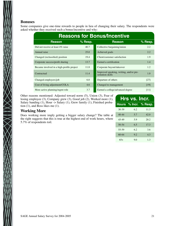### **Bonuses**

Some companies give one-time rewards to people in lieu of changing their salary. The respondents were asked whether they received such a bonus/incentive and why:

| <b>Reasons for Bonus/Incentive</b> |                                                             |           |  |  |  |
|------------------------------------|-------------------------------------------------------------|-----------|--|--|--|
| $%$ Resp.                          | <b>Reason</b>                                               | $%$ Resp. |  |  |  |
| 40.7                               | Collective bargaining/union                                 | 2.2       |  |  |  |
| 25.0                               | Achieved goals                                              | 2.2       |  |  |  |
| 19.4                               | Client/customer satisfaction                                | 1.9       |  |  |  |
| 13.7                               | Earned a certification                                      | 1.4       |  |  |  |
| 11.8                               | Corporate buyout/takeover                                   | 1.2       |  |  |  |
| 11.4                               | Improved speaking, writing, and/or pre-<br>sentation skills | 1.0       |  |  |  |
| 6.0                                | Departure of others                                         | [27]      |  |  |  |
| 4.6                                | Changed to management                                       | [19]      |  |  |  |
| 3.7                                | Earned a college/advanced degree                            | [11]      |  |  |  |
|                                    |                                                             |           |  |  |  |

Other reasons mentioned: Adjusted toward norm (5), Union (3), Fear of losing employee (3), Company grew (3), Good job (2), Worked more (1), Salary banding  $(1)$ , Hour  $\rightarrow$  Salary  $(1)$ , Grew family  $(1)$ , Finished probation (1), and Boss likes me (1).

### **Working More**

 $\sum\limits_{\mathcal{X}}$ 

Does working more imply getting a bigger salary change? The table at the right suggests that this is true at the highest end of work hours, where 5.7% of respondents toil.

| Hrs vs. Incr. |     |                       |  |  |  |
|---------------|-----|-----------------------|--|--|--|
|               |     | Hours % Incr. % Resp. |  |  |  |
| $30-39$       | 6.2 | 11.3                  |  |  |  |
| $40 - 44$     | 5.7 | 42.0                  |  |  |  |
| 45-49         | 5.9 | 20.2                  |  |  |  |
| $50 - 54$     | 65  | 17.3                  |  |  |  |
| 55-59         | 6.2 | 3.6                   |  |  |  |
| $60 - 64$     | 9.2 | 4.3                   |  |  |  |
| $65+$         | 9.0 | 1.3                   |  |  |  |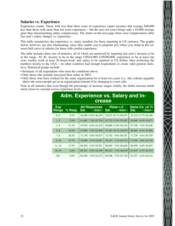### **Salaries vs. Experience**

Experience counts. Those with less than three years of experience report incomes that average \$40,000 less than those with more than ten years experience − but the next ten years brings only a \$3,000 average gain (thus demonstrating salary compression). The charts on the next page show *total* compensation (after last year's salary change) vs. experience.

This table summarizes the experience vs. salary numbers for those reporting in US currency. The graphs below, however, are also illuminating, since they enable you to pinpoint just where you stand in the (almost) bell curve of salaries for those with similar experience.

The table includes three sets of statistics, all of which are narrowed by requiring last year's increase to be in the range -30..30, income to be in the range US\$10,000..US\$200,000, experience to be at least one year, weekly work at least 30 hours/week, and salary to be reported in US dollars (thus restricting the numbers mostly to the USA – no other countries had enough respondents to create valid general statistics). Statistical groups include:

- Summary of all respondents who meet the conditions above.
- Only those who actually increased their salary in 2003.
- Only those who have worked for the same organization for at least two years (i.e., this column arguably shows the raises people get at an organization instead of by changing to a new job).

Note in all statistics that even though the percentage of increase ranges widely, the dollar increase holds much closer to constant across experience levels.

| <b>Adm. Experience vs. Salary and In-</b><br><b>crease</b> |           |                                          |                                     |                                         |  |  |  |
|------------------------------------------------------------|-----------|------------------------------------------|-------------------------------------|-----------------------------------------|--|--|--|
| <b>Exp</b><br>Range                                        | $%$ Resp. | <b>All Responses</b><br>Sal.<br>$-Incr-$ | Raise $> 0$<br>Sal.<br>$-$ Incr $-$ | Same Co. > 2 Yr<br>$-$ Incr $-$<br>Sal. |  |  |  |
| $0.0^{\circ}$                                              | $0.5\%$   | 48,280 13.0% \$6,254                     | 52,075 16.7% \$8,674                | 32,218 12.7% \$4,106                    |  |  |  |
| 12                                                         | 5.9%      | 43.482 7.6% \$3.324                      | 43,752 12.8% \$5,582                | 8.4% \$3,677<br>43.698                  |  |  |  |
| 3.4                                                        | $11.3\%$  | 47.935 6.8% \$3.239                      | 50,006 11.0% \$5,516                | 7.6% \$3,640<br>47,740                  |  |  |  |
| 5.6                                                        | $19.4\%$  | 7.0% \$3.994<br>57,098                   | 57,425 10.2% \$5,878                | 6.9% \$3.908<br>56,660                  |  |  |  |
| 7.8                                                        | 20.2%     | 71,370 6.8% \$4,875                      | 72,762 9.0% \$6,521                 | 6.6% \$4,705<br>71.729                  |  |  |  |
| 9.10                                                       | $15.7\%$  | 5.1% \$3,887<br>76,900                   | 7.3% \$5,723<br>78.327              | 4.8% \$3,744<br>77,598                  |  |  |  |
| 1115                                                       | $17.5\%$  | 86,302 4.5% \$3,921                      | 86.685<br>7.6% \$6,620              | 4.6% \$4,025<br>86,959                  |  |  |  |
| 16.19                                                      | $4.9\%$   | 4.8% \$4,299<br>89,701                   | 7.4% \$6,639<br>90,235              | 4.3% \$3,974<br>93,419                  |  |  |  |
| $20+$                                                      | 4.6%      | 92,430 3.5% \$3,272                      | 7.5% \$7,130<br>95,598              | 4.4% \$4.124<br>93.327                  |  |  |  |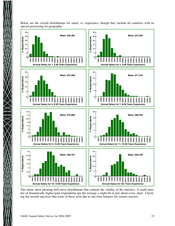

Below are the overall distributions for salary vs. experience, though they include all countries with no special processing for geography.

The charts show pleasing bell-curve distributions that connote the validity of the statistics. A small number of dramatically higher-paid respondents ups the average a slight bit in just about every chart. Checking the records uncovers that some of these were due to one-time bonuses for various reasons.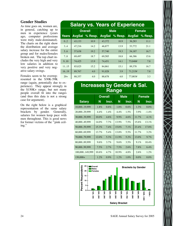### **Gender Studies**

As time goes on, women are, in general, catching up to men in experience (years ago, computer professions were truly male-dominated). The charts on the right show the distribution and average salary increase for the entire group and for males/females broken out. The top chart includes the very high and very low salaries in addition to very positive and very negative salary swings.

Females seem to be overrepresented in the \$30K-59K

range (again, potentially due to experience). They appear strongly in the \$150K+ range, but not many people overall fit into the ranges (and thus this data is not a strong case for argument).

On the right below is a graphical representation of the same salary brackets by gender. Generally, salaries for women keep pace with men throughout. This is good news for former victims of the ''pink ceiling.''

### **Salary vs. Years of Experience**

|       | <b>Overall</b> |         | <b>Male</b>   |         | <b>Female</b> |         |
|-------|----------------|---------|---------------|---------|---------------|---------|
| Years | <b>AvgSal</b>  | % Resp. | <b>AvgSal</b> | % Resp. | <b>AvgSal</b> | % Resp. |
| 02    | 43.133         | 10.9    | 43,372        | 10.9    | 36.283        | 11.1    |
| 3.4   | 47.216         | 14.2    | 46,877        | 13.9    | 53,772        | 21.1    |
| 5.6   | 57.638         | 19.2    | 57,740        | 19.3    | 54.187        | 16.7    |
| 7.8   | 69.497         | 18.7    | 69.585        | 18.8    | 66.386        | 15.6    |
| 9.10  | 74,425         | 13.9    | 74,451        | 14.1    | 73,048#       | 7.8     |
| 11.15 | 85,025         | 15.2    | 84.861        | 15.1    | 89.378        | 16.7    |
| 16.19 | 89,767         | 4.0     | 91.028        | 3.9     | 71,215#       | 7.8     |
| $20+$ | 88,357         | 4.0     | 88,678        | 4.0     | 77,003#       | 3.3     |

### **Increases by Gender & Sal. Range**

|                | <b>Overall</b> |         | <b>Male</b> |         | <b>Female</b> |          |
|----------------|----------------|---------|-------------|---------|---------------|----------|
| <b>Salary</b>  | N              | Incr.   | N           | Incr.   | N             | Incr.    |
| 10,00019,999   | $1.8\%$        | 0.6%    | $1.8\%$     | 0.6%    | $1.3\%$       | $0.0\%$  |
| 20,00029,999   | $4.4\%$        | $1.4\%$ | 4.4%        | 1.5%    | $3.9\%$       | $-1.4\%$ |
| 30,00039,999   | $10.0\%$       | $4.6\%$ | $9.9\%$     | 4.6%    | 11.7%         | $4.1\%$  |
| 40,00049,999   | $14.0\%$       | $7.7\%$ | 13.9%       | 7.5%    | 15.6%         | $13.1\%$ |
| 50,00059,999   | $15.3\%$       | 7.4%    | $15.0\%$    | 7.1%    | $23.4\%$      | 17.8%    |
| 60,00069,999   | $13.7\%$       | $5.4\%$ | 13.8%       | 5.5%    | $11.7\%$      | 3.2%     |
| 70,00079,999   | $12.0\%$       | 5.3%    | $11.9\%$    | 5.2%    | $13.0\%$      | 9.7%     |
| 80,00089,999   | 9.6%           | $3.7\%$ | 9.6%        | 3.5%    | 9.1%          | 10.4%    |
| 90,00099,999   | 7.5%           | $2.7\%$ | 7.5%        | $2.6\%$ | 7.8%          | $6.4\%$  |
| 100,000149,999 | 10.6%          | 4.7%    | $10.9\%$    | 4.8%    | 2.6%          | $1.2\%$  |
| $150,000+$     | 1.2%           | $0.9\%$ | $1.2\%$     | 1.0%    | $0.0\%$       | $0.0\%$  |

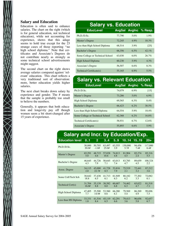### **Salary and Education**

Education is often said to enhance salaries. The chart on the right (which is for general education, not technical education), while not accounting for experience, shows that this adage seems to hold true except for the 23 strange cases of those reporting ''no high school diploma.'' Note that certificates and Associate's Degrees do not contribute nearly as strongly as some technical school advertisements might suggest.

The second chart on the right shows average salaries compared against 'relevant' education. This chart reflects a very traditional sort of observation: more, better education yields higher salaries.

The next chart breaks down salary by experience and gender. The # means that the sample is probably too small to believe the numbers.

Generally, it appears that both education and longevity pay off though women seem a bit short-changed after 15 years of experience.

| <b>Salary vs. Education</b>      |        |         |                       |  |  |  |
|----------------------------------|--------|---------|-----------------------|--|--|--|
| <b>EducLevel</b>                 |        |         | AvgSal AvgInc % Resp. |  |  |  |
| Ph.D./D.Sc.                      | 77.790 | 5.0%    | 1.9%                  |  |  |  |
| Master's Degree                  | 72,245 | $4.9\%$ | 10.3%                 |  |  |  |
| Less than High School Diploma    | 68.514 | $3.9\%$ | [25]                  |  |  |  |
| Bachelor's Degree                | 66.356 | 6.5%    | $42.1\%$              |  |  |  |
| Some College or Technical School | 63,030 | 6.0%    | 26.7%                 |  |  |  |
| High School Diploma              | 60,230 | 5.9%    | $4.3\%$               |  |  |  |
| Associate's Degree               | 56,507 | 6.6%    | 8.3%                  |  |  |  |
| Technical Certificate(s)         | 55,165 | $6.9\%$ | 5.5%                  |  |  |  |

## **Salary vs. Relevant Education**

| <b>EducLevel</b>                 |        |         | AvgSal AvgInc % Resp. |
|----------------------------------|--------|---------|-----------------------|
| Ph.D./D.Sc.                      | 74,079 | $6.9\%$ | [15]                  |
| Master's Degree                  | 73.286 | 5.0%    | $6.9\%$               |
| High School Diploma              | 69,565 | 6.3%    | 8.4%                  |
| <b>Bachelor's Degree</b>         | 66,423 | $6.2\%$ | 30.5%                 |
| Less than High School Diploma    | 64.554 | 5.9%    | $18.4\%$              |
| Some College or Technical School | 62.368 | $6.2\%$ | 16.8%                 |
| Technical Certificate(s)         | 58.931 | $6.7\%$ | 12.6%                 |
| Associate's Degree               | 55,893 | 6.6%    | 5.9%                  |

| <b>Salary and Incr. by Education/Exp.</b> |        |              |        |        |         |        |         |
|-------------------------------------------|--------|--------------|--------|--------|---------|--------|---------|
| <b>Education level</b>                    | 01     | $\mathbf{2}$ | 3.4    | 5.9    | 1014    | 1519   | $20+$   |
| Ph.D./D.Sc.                               | 30,000 | 50,705       | 63.497 | 63.555 | 130,000 | 94.456 | 117,000 |
|                                           | 20.0#  | $-1.0#$      | 25.0#  | 3.9    | 5.7#    | 7.4#   | 6.4#    |
| Master's Degree                           | 65,291 | 48,715       | 57,028 | 74,813 | 81.904  | 85,274 | 85,316  |
|                                           | 5.0    | 4.6          | 10.6   | 4.8    | 4.5     | 2.4    | 5.5     |
| Bachelor's Degree                         | 46,645 | 44,726       | 50,645 | 63,013 | 83,785  | 89,659 | 100,324 |
|                                           | 4.3    | 7.9          | 7.1    | 7.4    | 4.7     | 4.5    | 2.2.    |
| Assoc. Degree                             | 34,115 | 45,000       | 41.728 | 53,816 | 75,519  | 72,441 | 87,212  |
|                                           | 2.0    | 22.7#        | 8.5    | 7.9    | 2.1     | 3.2    | 3.6     |
| Some Coll/Tech Sch                        | 38,642 | 37,438       | 41.713 | 61,949 | 80,182  | 77,202 | 72,082  |
|                                           | 18.8   | 6.5          | 6.1    | 6.3    | 6.2     | 3.3    | 6.1     |
| Technical Cert(s)                         | 31,704 | 35,139       | 38,582 | 60,687 | 74,462  | 65,022 | 81,518  |
|                                           | 16.0#  | 8.8          | 8.0    | 6.8    | 6.3     | 4.7    | $-7.1$  |
| High School Diploma                       | 47,405 | 35,500       | 53,560 | 66,280 | 79,569  | 86,269 | 99,696  |
|                                           | 7.7    | 14.9#        | 8.6    | 6.1    | 5.4     | 4.9    | 7.5     |
| Less than HS Diploma                      | 33,331 | 41,516       | 45.119 | 62,291 | 79,413  | 96,656 | 92,657  |
|                                           | 1.8    | 8.4          | 6.5    | 6.6    | 3.6     | 5.8    | 6.7     |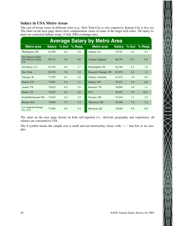### **Salary in USA Metro Areas**

The cost of living varies in different cities (e.g., New York City is very expensive; Kansas City is less so). The chart on the next page shows how compensation varies in some of the larger tech cities. All salary reports are converted dollars using 13 July 2004 exchange rates.

|                                                  |               |          |         | <b>Average Salary by Metro Area</b> |               |      |                |
|--------------------------------------------------|---------------|----------|---------|-------------------------------------|---------------|------|----------------|
| <b>Metro area</b>                                | <b>Salary</b> | $%$ Incr | % Resp. | <b>Metro area</b>                   | <b>Salary</b> |      | % Incr % Resp. |
| Washington, DC                                   | 91.098        | 6.4      | 5.0     | Atlanta, GA                         | 70,787        | 4.2  | 2.3            |
| San Francisco/San<br>Jose/Silicon Valley,<br>CA. | 90,513        | 5.8      | 9.0     | London, England                     | 68,756        | 10.7 | 0.5            |
| San Diego, CA                                    | 87,524        | 6.9      | 1.7     | Philadelphia, PA                    | 64,180        | 6.1  | 1.8            |
| New York                                         | 82,974        | 7.0      | 5.0     | Research Triangle, NC               | 62,976        | 6.2  | 1.5            |
| Chicago, IL                                      | 77,295        | 6.2      | 3.8     | Sydney, Australia                   | 61,474        | 3.8  | 0.8            |
| Denver, CO                                       | 77,067        | 5.9      | 3.1     | Ottawa, ON                          | 59,221        | 2.0  | 0.6            |
| Austin, TX                                       | 76,025        | 6.9      | 1.6     | Houston, TX                         | 58,968        | 4.8  | 1.1            |
| Dallas, TX                                       | 75,655        | 4.2      | 2.6     | N/A                                 | 58,307        | 5.8  | 42.5           |
| Seattle/Redmond, WA                              | 74,925        | 5.4      | 3.9     | Toronto, ON                         | 57,454        | 7.1  | 2.5            |
| Boston, MA                                       | 74,069        | 7.5      | 3.4     | Vancouver, BC                       | 45,246        | 7.8  | 1.4            |
| Los Angeles/Orange<br>Co., CA                    | 73,884        | 6.8      | 5.4     | Montreal, OC                        | 39,688        | 0.8  | 0.6            |

The chart on the next page factors in both self-reported (vs. derived) geography and experience; all salaries are converted to US\$.

The # symbol means the sample size is small and not trustworthy; boxes with '----' had few or no samples.

 $\bigotimes$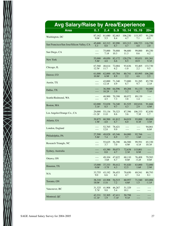| <b>Avg Salary/Raise by Area/Experience</b> |                 |                 |                   |                |                 |                 |
|--------------------------------------------|-----------------|-----------------|-------------------|----------------|-----------------|-----------------|
| <b>Area</b>                                | 0.1             | 2.4             | 5.9               | 1014           | 1519            | $20+$           |
| Washington, DC                             | 87.162          | 61,680          | 82,463            | 106,230        | 115,357         | 91,250          |
|                                            | 9.0#            | 5.5             | 8.4               | 4.7            | 7.1             | $-0.9$          |
| San Francisco/San Jose/Silicon Valley, CA  | 45,600          | 62,312          | 82,990            | 103,313        | 108,723         | 116,750         |
|                                            | 5.3             | 8.8             | 6.7               | 4.7            | 4.8             | 2.0             |
| San Diego, CA                              | ----            | 75,000          | 70,888            | 96,600         | 99,000          | 89,250          |
|                                            | ----            | 7.1#            | 10.3              | 11.3           | 0.6             | 4.2             |
| New York                                   | 55,000          | 49,850          | 82,172            | 120,276        | 95,831          | 101,361         |
|                                            | 5.8#            | 4.8             | 6.6               | 8.5            | 10.9            | 9.3#            |
| Chicago, IL                                | 67,560          | 48,614          | 72,004            | 93,636         | 93,405          | 133,730         |
|                                            | 12.5#           | 11.7            | 6.2               | $-1.0$         | 2.2             | 9.5             |
| Denver, CO                                 | 61,000          | 62,000          | 65,784            | 80,741         | 85,995          | 106,200         |
|                                            | 10.8#           | 6.9#            | 8.9               | 2.2            | 4.6             | 2.5             |
| Austin, TX                                 |                 | 43,000<br>12.1# | 71,340<br>4.9     | 73,800<br>6.7  | 91,285<br>9.7   | 85,750<br>2.1#  |
| Dallas, TX                                 | ----            | 36,500          | 64,596            | 89.208         | 91,133          | 94,000          |
|                                            | ----            | 10.2#           | 3.9               | 3.2            | 4.2             | 7.1#            |
| Seattle/Redmond, WA                        | ----            | 48,900          | 70,398            | 88,072         | 89,139          | $---$           |
|                                            | ----            | 4.5             | 7.3               | 3.8            | 1.4             | $--- -$         |
| Boston, MA                                 | 62,000          | 53,838          | 74,340            | 81,525         | 102,016         | 91,666          |
|                                            | 3.1#            | 8.5             | 9.7               | 4.3            | 2.9             | 4.9#            |
| Los Angeles/Orange Co., CA                 | 29,000          | 53,134          | 70,323            | 87,396         | 106,333         | 82,850          |
|                                            | $-11.2#$        | 11.0            | 8.6               | 3.6            | 7.3#            | 1.7             |
| Atlanta, GA                                | 39,875          | 60,500          | 61,812            | 84,019         | 93,000          | 89,000          |
|                                            | 1.9#            | $-4.8$          | 6.7               | 6.0            | 0.3#            | 3.5#            |
| London, England                            | $---$           | 52,765          | 78,421            | ----           | $---$           | 94,061          |
|                                            | $--- -$         | 12.8            | 9.9               | ----           | $---$           | 6.0#            |
| Philadelphia, PA                           | 27,500<br>5.8#  | 49.828<br>7.4   | 65,346<br>6.9     | 84,000<br>3.7  | 92,766<br>1.6#  | ----            |
| Research Triangle, NC                      | ----            | 55,625<br>3.7   | 56,390<br>7.0     | 66,500<br>4.9# | 99,591<br>4.1#  | 65,330<br>10.3# |
| Sydney, Australia                          |                 | 43,380<br>0.8   | 50,073<br>4.7     | 72,638<br>2.3# | 115,001<br>8.9# | ----            |
| Ottawa, ON                                 | ----            | 49,104          | 47,622            | 60,110         | 76,408          | 79,583          |
|                                            | ----            | 3.6#            | 6.7               | 0.0#           | $-5.2#$         | 0.0#            |
| Houston, TX                                | 15,000          | 37,333          | 50,412            | 91,020         | 63,000          | 72,000          |
|                                            | 0.0#            | $-3.7#$         | 4.3               | 12.5           | 1.6#            | 2.9#            |
| N/A                                        | 33,755          | 43,192          | 56,453            | 70,650         | 69,541          | 80,793          |
|                                            | 9.0             | 6.6             | 6.2               | 4.7            | 3.4             | 8.1             |
| Toronto, ON                                | 38,310          | 43,508          | 54,515            | 60,957         | 71,540          | 103,006         |
|                                            | 18.0#           | 11.6            | 7.2               | 4.6#           | 1.5             | $-1.1#$         |
| Vancouver, BC                              | 31,325<br>5.7#  | 41,908<br>9.8   | 46,267<br>5.4     | 51,329<br>10.1 | $---$           |                 |
| Montreal, QC                               | 42,331<br>11.1# | 32,305<br>1.9   | 47,411<br>$-7.1#$ | 50,798<br>9.1# | ----<br>----    | ----            |

T.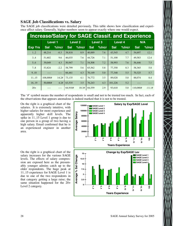### **SAGE Job Classifications vs. Salary**

The SAGE job classifications were detailed previously. This table shows how classification and experience affect salary. Generally, higher numbers seem to appear exactly where one would expect.

|                | <b>Increase/Salary for SAGE Classif. and Experience</b> |        |                |          |            |                |            |                |            |            |  |  |  |
|----------------|---------------------------------------------------------|--------|----------------|----------|------------|----------------|------------|----------------|------------|------------|--|--|--|
|                | <b>Level 1</b>                                          |        | <b>Level 2</b> |          |            | <b>Level 3</b> |            | <b>Level 4</b> |            | <b>N/A</b> |  |  |  |
| <b>Exp Yrs</b> | <b>Sal</b>                                              | %Incr  | <b>Sal</b>     | $%$ Incr | <b>Sal</b> | %Incr          | <b>Sal</b> | %Incr          | <b>Sal</b> | %Incr      |  |  |  |
| 12             | 48,214                                                  | $-0.3$ | 38,818         | 8.9      | 40,889     | 7.6            | 43,545     | 4.7            | 54,697     | 12.1       |  |  |  |
| 34             | 51,602                                                  | 9.6    | 46,035         | 7.6      | 44,726     | 7.1            | 51,100     | 7.7            | 49,583     | 12.4       |  |  |  |
| 56             | 39,049                                                  | 4.3    | 50,947         | 7.1      | 54,508     | 7.2            | 58,993     | 7.6            | 56,446     | 7.5        |  |  |  |
| 7.8            | 53,824                                                  | $-2.2$ | 58,799         | 5.6      | 65,562     | 5.8            | 77,350     | 8.3            | 58,365     | 5.8        |  |  |  |
| 9.10           |                                                         | ----   | 66,461         | 4.3      | 70,149     | 5.0            | 77,348     | 5.5            | 70,325     | 5.7        |  |  |  |
| 1115           | 108,000#                                                | 14.2#  | 73,135         | 4.1      | 76,772     | 3.5            | 89,028     | 5.0            | 88,074     | 8.4        |  |  |  |
| 16.19          | 50,000#                                                 | 4.2#   | 63,535         | 3.5      | 76,243     | 4.3            | 101,226    | 5.2            |            |            |  |  |  |
| $20+$          |                                                         |        | 64,910#        | 10.3#    | 84,559     | 2.9            | 93,610     | 5.0            | 110,080#   | $-11.1#$   |  |  |  |

The '#' symbol means the number of respondents is small and not to be trusted too much. In fact, each of the observations that appears anomalous is indeed marked that it is not to be trusted.

On the right is a graphical chart of the salaries. It is extremely intuitive, with higher salaries for more experience and apparently higher skill levels. The spike in 11..15 Level 1 group is due to one person in a group of two having a high salary. Email confirmed that he is an experienced engineer in another area.

On the right is a graphical chart of the salary increases for the various SAGE levels. The effects of salary compression are exposed here as the presumably younger admins catch up to the older respondents. The huge peak at 11..15 experience for SAGE Level 1 is due to one of the two respondents in that category getting a large raise; the same situation happened for the 20+ Level 2 category.



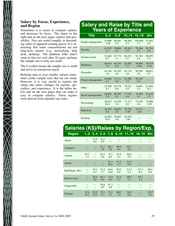### **Salary by Focus, Experience, and Region**

Sometimes it is easier to compare salaries and increases by focus. The charts to the right and on the next pages explore that possibility. Foci are sorted roughly in descending order of apparent earning power. It is interesting that some concentrations are not long-term careers (e.g., networking, help desk, desktop). The database folks didn't seem to fare too well after 10 years; perhaps the sample size is truly too small.

The # symbol means the sample size is small and not to be trusted too much.

Refining data to ever smaller subsets sometimes yields sample sizes that are too small. However, it is very useful to explore the salary and salary changes for regions, specialties, and experience. It is the tables below and on the next pages that can make it easy to compare salaries. These regions were derived from reported zip codes.

### **Salary and Raise by Title and Years of Experience**

| <b>Title</b>          | 2.4            | 5.9           | 1014           | 1519           | $20+$  |
|-----------------------|----------------|---------------|----------------|----------------|--------|
| People management     | 52,000         | 86,961        | 96,584         | 105,884        | 97,463 |
|                       | 2.9#           | 9.3           | 5.5            | 7.1            | 4.5    |
| Security              | 41.293         | 70.096        | 85,263         | 78,560         | 91.763 |
|                       | 5.7            | 6.2           | 5.4            | 2.5            | 4.0    |
| <b>Technical lead</b> | 51,626         | 67,773        | 84,515         | 92,762         | 96,859 |
|                       | 6.7            | 7.1           | 4.7            | 4.4            | 7.2    |
| <b>Databases</b>      | 40.914         | 65,363        | 82,920         | 58,000         | 59,479 |
|                       | 7.4            | 6.5           | 7.2            | $-6.6#$        | 0.7#   |
| Generalist            | 43,164         | 61,545        | 81,714         | 90,364         | 86,015 |
|                       | 7.6            | 6.9           | 4.6            | 3.8            | 5.3    |
| Project management    | 46,966<br>6.2  | 72,311<br>6.0 | 81,990<br>7.5  | 89,238<br>6.5  |        |
| Other                 | 52,509         | 65,778        | 79,523         | 74,081         | 81,402 |
|                       | 4.3            | 6.6           | 4.5            | 3.5            | $-6.2$ |
| Server management     | 44.964         | 60,790        | 77,228         | 79,399         | 91.942 |
|                       | 7.9            | 6.3           | 4.9            | 5.1            | 1.5    |
| Networking            | 50,023         | 61,930        | 71,711         | 73,428         | 74,960 |
|                       | 10.4           | 7.8           | 4.8            | 2.6            | 6.2#   |
| Help desk             | 36,302<br>8.8  | 44.083<br>5.0 | 45,750<br>3.9# | 55,333<br>3.4# |        |
| Desktop               | 41,062<br>10.9 | 54,607<br>4.8 | 43.429<br>3.6# |                |        |

### **Salaries (K\$)/Raises by Region/Exp. Region 1..2 3..4 5..6 7..8 9..10 11..15**

| $\tilde{\phantom{a}}$ |              |              |             |                  |              |              |              |              |
|-----------------------|--------------|--------------|-------------|------------------|--------------|--------------|--------------|--------------|
| Akron                 | $---$        | 51.0<br>8.6  | 51.2<br>9.5 | $- - -$<br>$---$ | $---$        | $- - -$      | ---          |              |
| Arlington             |              | ---<br>---   | 51.7<br>3.0 | 68.3<br>3.0      | 80.6<br>4.6  | 90.7<br>3.0  | ---          | ---          |
| Atlanta               | 63.7<br>1.5  | $---$<br>--- | 62.5<br>4.8 | 74.2<br>8.4      | 91.0<br>6.5  | 88.8<br>2.8  | $---$        | $---$        |
| Austin                |              |              | ---         | 81.2<br>10.6     | 81.2<br>4.7  | 91.9<br>6.8  | ---          | ---          |
| Balt/Wash., DC+       | ---<br>---   | 70.3<br>4.5  | 73.4<br>2.7 | 84.0<br>10.8     | 99.9<br>6.8  | 113.3<br>6.2 | 127.1<br>8.4 | 96.9<br>0.4  |
| Boston+Area           | ---          | 58.4<br>8.8  | 69.2<br>9.5 | 73.4<br>6.9      | 81.6<br>5.7  | 90.0<br>3.7  | 95.7<br>5.4  |              |
| Chapel Hill           |              | ---          | 54.8<br>9.5 | 61.3<br>4.0      | ---          |              |              |              |
| Chicago               | 45.4<br>10.7 | 58.9<br>15.0 | 79.1<br>6.7 | 75.2<br>5.3      | 100.7<br>7.8 | 94.0<br>0.8  | $---$        | 138.7<br>9.5 |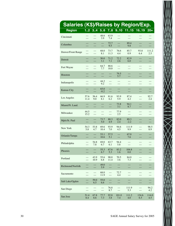| <b>Salaries (K\$)/Raises by Region/Exp.</b> |              |                |                |              |             |              |       |             |
|---------------------------------------------|--------------|----------------|----------------|--------------|-------------|--------------|-------|-------------|
| <b>Region</b>                               |              | $12$ 3.4       | 5.6            | 7.8          | 9.10        | 1115         | 16.19 | $20+$       |
| Cincinnati                                  | ---          | $---$<br>$-$   | 48.6<br>3.9    | 63.9<br>7.4  | ---<br>---  | $---$<br>--- | $---$ | ---         |
| Columbus                                    | ---          | ---            | ---            | 72.7         | ---         | 89.4         | ---   | ---         |
|                                             | ---          | ---            | ---            | 9.5          | $---$       | 9.8          | ---   | ---         |
| Denver/Front Range                          | $---$        | $---$          | 68.0           | 73.7         | 76.6        | 85.7         | 93.8  | 111.2       |
|                                             | $---$        | $---$          | 8.1            | 11.3         | 4.4         | 0.9          | 6.4   | 2.5         |
| Detroit                                     | ---          | ---            | 50.0           | 71.2         | 72.2        | 82.9         | ---   | ---         |
|                                             | ---          | ---            | 3.1            | 7.1          | 2.6         | 6.0          | ---   | ---         |
| Fort Wayne                                  | ---          | ---            | 64.7           | 88.6         | ---         | $---$        | $---$ | ---         |
|                                             | ---          | ---            | 7.7            | 10.0         | $---$       | $---$        | $---$ | ---         |
| Houston                                     | ---          | ---            | $---$          | ---          | 79.5        | ---          | ---   | ---         |
|                                             | ---          | ---            | ---            | ---          | 5.7         | ---          | ---   | ---         |
| Indianapolis                                | ---          | $---$          | 44.2           | $---$        | $---$       | $---$        | ---   | $---$       |
|                                             | $---$        | $---$          | 9.2            | $---$        | $---$       | $---$        | ---   | $---$       |
| <b>Kansas City</b>                          | ---          | ---            | 65.0<br>$-0.2$ | ---          | ---         | ---<br>$---$ | ---   | ---<br>---  |
| Los Angeles                                 | 57.6<br>11.4 | 56.4<br>9.0    | 66.9<br>8.1    | 81.6<br>6.2  | 93.9<br>5.9 | 87.4<br>4.2  | $---$ | 92.7<br>2.4 |
| Miami/Ft. Laud.                             | ---          | ---            | ---            | ---          | 73.8        | 94.1         | ---   | ---         |
|                                             | ---          | ---            | ---            | ---          | 3.1         | 8.7          | ---   | ---         |
| Milwaukee                                   | 44.5         | $---$          | $---$          | $---$        | 77.9        | $---$        | $---$ | $---$       |
|                                             | 15.2         | $---$          | $---$          | $---$        | 2.5         | $---$        | $---$ | $---$       |
| Mpls/St. Paul                               | ---          | ---            | 73.7           | 80.3         | 82.0        | 89.3         | ---   | ---         |
|                                             | $---$        | $---$          | 5.0            | 4.9          | 2.4         | $-2.2$       | ---   | $---$       |
| New York                                    | 54.3         | 53.8           | 69.6           | 93.9         | 94.6        | 111.9        | $---$ | 98.5        |
|                                             | 5.8          | 4.7            | 10.4           | 7.0          | 4.5         | 9.9          | $---$ | 8.9         |
| Orlando/Tampa                               | ---          | $---$          | 53.1           | 57.5         | ---         | 67.0         | ---   | ---         |
|                                             | ---          | ---            | 10.6           | 5.1          | ---         | 7.6          | ---   | ---         |
| Philadelphia                                | $---$        | 54.8           | 69.0           | 63.7         | 94.4        | $---$        | $---$ | ---         |
|                                             | $---$        | 7.8            | 6.7            | 6.1          | 5.8         | $---$        | ---   | $---$       |
| Phoenix                                     | ---          | ---<br>---     | 55.3<br>6.7    | 67.6<br>5.3  | 83.2<br>1.6 | 104.8<br>0.0 |       | ---         |
| Portland                                    | ---          | 43.9<br>10.9   | 55.6<br>6.8    | 90.0<br>11.4 | 70.5<br>3.6 | 84.0<br>7.3  |       | ---         |
| Richmond/Norfolk                            | ---          | ---<br>---     | 49.0<br>5.9    | ---<br>---   | ---<br>---  | ---<br>---   | ---   | ---         |
| Sacramento                                  | ---<br>---   | $---$<br>$---$ | 68.0<br>11.9   | $---$<br>--- | 72.7<br>4.4 | ---<br>---   | $---$ | ---         |
| Salt Lake/Ogden                             | ---<br>---   | 59.0<br>6.5    | 55.0<br>6.6    | ---<br>---   | ---<br>---  | ---<br>---   | ---   | ---         |
| San Diego                                   | ---          | $---$          | $\cdots$       | 76.8         | ---         | 111.9        | ---   | 94.2        |
|                                             | ---          | $---$          | $---$          | 8.7          | ---         | 5.3          | ---   | 4.2         |
| San Jose                                    | 51.4         | 67.8           | 77.7           | 92.8         | 101.0       | 111.2        | 124.6 | 114.0       |
|                                             | 8.4          | 8.6            | 7.3            | 3.8          | 7.4         | 4.0          | 6.5   | 4.5         |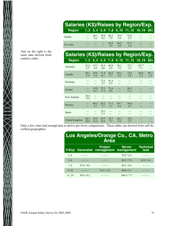| <b>Salaries (K\$)/Raises by Region/Exp.</b> |  |                          |            |             |                               |  |
|---------------------------------------------|--|--------------------------|------------|-------------|-------------------------------|--|
| <b>Region</b>                               |  |                          |            |             | 12 34 56 78 910 1115 1619 20+ |  |
| Seattle                                     |  | 48.3 59.5<br>6.4 9.2 7.9 | 88.2       | 78.8<br>58  | 93.8<br>35                    |  |
| St. Louis                                   |  |                          | 64.9<br>39 | 68.0<br>4.8 | 87.2<br>34                    |  |

And on the right is the

XXIIIXX

| And on the right is the<br>same data derived from | Salaries (K\$)/Raises by Region/Exp. |              |                |              |                 |              |                           |                |             |
|---------------------------------------------------|--------------------------------------|--------------|----------------|--------------|-----------------|--------------|---------------------------|----------------|-------------|
| country codes.                                    | <b>Region</b>                        |              |                |              |                 |              | 12 34 56 78 910 1115 1619 |                | $20+$       |
|                                                   | Australia                            | 41.6<br>4.5  | 45.5<br>4.6    | 54.4<br>8.6  | 60.6<br>2.8     | 56.1<br>7.6  | 72.3<br>2.2               | 107.7<br>7.1   | ---<br>---  |
|                                                   | Canada                               | 39.1<br>5.9  | 45.8<br>9.4    | 51.9<br>6.1  | 60.5<br>5.3     | 54.4<br>6.8  | 72.8<br>3.8               | 60.0<br>$-2.3$ | 88.1<br>1.4 |
|                                                   | Germany                              | ---<br>---   | $---$<br>$---$ | 72.5<br>5.5  | 81.4<br>6.5     | $---$<br>--- |                           | ---            | ---         |
|                                                   | Ireland                              | ---          | 43.0<br>14.7   | 52.1<br>17.4 | 74.4<br>8.6     | $---$<br>--- | 66.3<br>11.2              |                | ---         |
|                                                   | New Zealand                          | 36.0<br>13.0 | $---$<br>$---$ | $- - -$      |                 |              |                           |                |             |
|                                                   | Norway                               | ---<br>$---$ | 66.3<br>5.7    | 65.2<br>7.2  | 73.1<br>2.1     | 89.7<br>8.4  | 94.6<br>4.7               |                | ---         |
|                                                   | Spain                                |              | $---$<br>$---$ | 29.2<br>5.3  | $-- -$<br>$---$ |              |                           |                |             |
|                                                   | <b>United Kingdom</b>                | 44.5<br>10.9 | 55.8<br>11.9   | 63.7<br>10.4 | 76.7<br>7.3     | 98.3<br>5.8  | 78.2<br>3.5               | ---            |             |

Only a few cities had enough data to derive per-focus comparisons. These tables are derived from self-described geographies.

### **Los Angeles/Orange Co., CA, Metro Area**

| <b>YrExp</b> |               | <b>Project</b><br>Generalist management | <b>Server</b><br>management | <b>Technical</b><br>lead |
|--------------|---------------|-----------------------------------------|-----------------------------|--------------------------|
| 3.4          | $---$ / $---$ | $--- / ---$                             | 52.0/4.2                    | $---$ / $---$            |
| 5.6          | $--- / ---$   | $--- / ---$                             | 56.2/7.9                    | 82.9/9.4                 |
| 7.8          | 87.0 / 8.6    | $---$ / $---$                           | 86.3/6.4                    | $---$ / $---$            |
| 9.10         | $--- / ---$   | 93.5/7.0                                | 86.8 / 3.1                  | $--- / ---$              |
| 1115         | 95.8 / 0.2    | $---$ / $---$                           | 100.4 / 7.7                 | --- / ---                |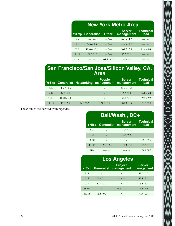|       | <b>New York Metro Area</b> |               |                             |                          |  |  |  |  |  |  |  |
|-------|----------------------------|---------------|-----------------------------|--------------------------|--|--|--|--|--|--|--|
| YrExp | <b>Generalist</b>          | <b>Other</b>  | <b>Server</b><br>management | <b>Technical</b><br>lead |  |  |  |  |  |  |  |
| 3.4   | $---$ / $---$              | $---$ / $---$ | 60.1/11.6                   | $---$ / $---$            |  |  |  |  |  |  |  |
| 5.6   | 74.0 / 5.3                 | $--- / ---$   | 68.4 / 18.6                 | $--- / ---$              |  |  |  |  |  |  |  |
| 7.8   | 109.0 / 10.4               | $---$ / $---$ | 109.7 / 5.9                 | 81.4/4.6                 |  |  |  |  |  |  |  |
| 9.10  | 108.3 / 1.2                | $--- / ---$   | 95.5 / 3.1                  | $--- / ---$              |  |  |  |  |  |  |  |
| 1115  | $---$ / $---$              | 108.7 / 12.3  | $---$ / $---$               | $---$ / $---$            |  |  |  |  |  |  |  |

### **San Francisco/San Jose/Silicon Valley, CA, Area**

| YrExp |             |               | <b>People</b><br>Generalist Networking management management | <b>Server</b> | <b>Technical</b><br>lead |
|-------|-------------|---------------|--------------------------------------------------------------|---------------|--------------------------|
| 5.6   | 86.2 / 10.5 | $---$ / $---$ | $---$ / $---$                                                | 85.3 / 10.4   | $---$ / $---$            |
| 7.8   | 97.3/4.4    | $--- / ---$   | $--- / ---$                                                  | 86.6 / 3.6    | 96.0 / 5.8               |
| 9.10  | 104.0 / 6.4 | $---$ / $---$ | $---$ / $---$                                                | 94.4/4.3      | 99.5/7.2                 |
| 1115  | 96.6 / 6.2  | 124.9/3.9     | 124.0/3.7                                                    | 108.0 / 0.7   | 109.5/2.6                |

These tables are derived from zipcodes.

| Balt/Wash., DC+ |               |                                        |                          |  |  |  |  |
|-----------------|---------------|----------------------------------------|--------------------------|--|--|--|--|
| YrExp           |               | <b>Server</b><br>Generalist management | <b>Technical</b><br>lead |  |  |  |  |
| 5.6             | $--- / ---$   | 63.5/4.3                               | $--- / ---$              |  |  |  |  |
| 7.8             | $--- / ---$   | 67.4/9.5                               | $--- / ---$              |  |  |  |  |
| 9.10            | $---$ / $---$ | $---$ / $---$                          | 106.0 / 5.2              |  |  |  |  |
| 11.15           | 123.6 / 6.9   | 111.3/5.2                              | 105.6 / 7.3              |  |  |  |  |
| $20+$           | $---$ / $---$ | $---$ / $---$                          | 104.2 / 6.0              |  |  |  |  |

 $\geqslant$ 

| <b>Los Angeles</b> |  |
|--------------------|--|
|                    |  |

|       |               | <b>Project</b><br><b>YrExp Generalist management</b> | <b>Server</b><br>management |
|-------|---------------|------------------------------------------------------|-----------------------------|
| 3.4   | $---$ / $---$ | $---$ / $---$                                        | 52.0/4.2                    |
| 5.6   | 63.1/3.5      | $--- / ---$                                          | 55.8/9.6                    |
| 7.8   | 87.4/5.3      | $---$ / $---$                                        | 86.3/6.4                    |
| 9.10  | $--- / ---$   | 93.5/7.0                                             | 86.8/3.1                    |
| 11.15 | 95.8/0.2      | $---$ / $---$                                        | 79.7/2.4                    |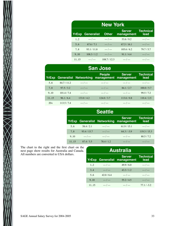| <b>New York</b> |               |               |                             |                          |  |  |
|-----------------|---------------|---------------|-----------------------------|--------------------------|--|--|
| <b>YrExp</b>    | Generalist    | <b>Other</b>  | <b>Server</b><br>management | <b>Technical</b><br>lead |  |  |
| 1.2             | $---$ / $---$ | $---$ / $---$ | 53.6/9.2                    | $---$ / $---$            |  |  |
| 5.6             | 67.6/7.1      | $--- / ---$   | 67.5/16.1                   | $--- / ---$              |  |  |
| 7.8             | 93.1 / 11.8   | $---$ / $---$ | 105.6/6.2                   | 79.7/5.7                 |  |  |
| 9.10            | 108.3 / 1.2   | $--- / ---$   | 91.1 / 4.4                  | $--- / ---$              |  |  |
| 1115            | $---$ / $---$ | 108.7 / 12.3  | $---$ / $---$               | $---$ / $---$            |  |  |

| <b>San Jose</b> |             |                                    |               |                                        |                          |  |  |  |
|-----------------|-------------|------------------------------------|---------------|----------------------------------------|--------------------------|--|--|--|
|                 |             | <b>YrExp Generalist Networking</b> | <b>People</b> | <b>Server</b><br>management management | <b>Technical</b><br>lead |  |  |  |
| 5.6             | 84.7/11.2   | $---$ / $---$                      | $---$ / $---$ | $---$ / $---$                          | $---$ / $---$            |  |  |  |
| 7.8             | 97.5/3.2    | $--- / ---$                        | $--- / ---$   | 84.1 / 2.7                             | 100.0 / 5.7              |  |  |  |
| 9.10            | 101.4 / 7.4 | $---$ / $---$                      | $---$ / $---$ | $---$ / $---$                          | 99.5/7.2                 |  |  |  |
| 1115            | 96.1 / 6.4  | 133.0 / 4.2                        | 124.0 / 3.7   | 113.6/0.8                              | 110.4 / 2.5              |  |  |  |
| $20+$           | 113.5/7.4   | $---$ / $---$                      | $---$ / $---$ | $---$ / $---$                          | ___ / ___                |  |  |  |

|       |               | <b>Seattle</b>                     |                             |                          |
|-------|---------------|------------------------------------|-----------------------------|--------------------------|
|       |               | <b>YrExp Generalist Networking</b> | <b>Server</b><br>management | <b>Technical</b><br>lead |
| 5.6   | 58.4/2.1      | $---$ / $---$                      | 61.9/15.1                   | $--- / ---$              |
| 7.8   | 93.4 / 15.7   | $--- / ---$                        | $64.3 / -3.9$               | 119.3 / 15.3             |
| 9.10  | $---$ / $---$ | $---$ / $---$                      | $---$ / $---$               | 80.5/7.2                 |
| 11.15 | 87.4/3.5      | 78.4/1.2                           | $---$ / $---$               | $---$ / $---$            |

The chart to the right and the first chart on the next page show results for Australia and Canada. All numbers are converted to USA dollars.

XIIX

| <b>Australia</b> |               |                                                     |                          |  |  |  |  |
|------------------|---------------|-----------------------------------------------------|--------------------------|--|--|--|--|
|                  |               | <b>Server</b><br><b>YrExp Generalist management</b> | <b>Technical</b><br>lead |  |  |  |  |
| 1.2              | $--- / ---$   | 49.9/6.0                                            | $--- / ---$              |  |  |  |  |
| 3.4              | $--- / ---$   | 43.3/1.2                                            | $--- / ---$              |  |  |  |  |
| 5.6              | 42.0/6.4      | $--- / ---$                                         | $--- / ---$              |  |  |  |  |
| 9.10             | $--- / ---$   | 55.2/4.5                                            | $--- / ---$              |  |  |  |  |
| 1115             | $---$ / $---$ | $---$ / $---$                                       | $77.1 / -3.2$            |  |  |  |  |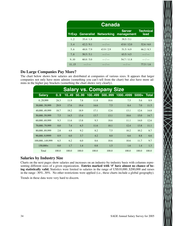|           | <b>Canada</b> |                                    |                             |                          |  |  |  |
|-----------|---------------|------------------------------------|-----------------------------|--------------------------|--|--|--|
|           |               | <b>YrExp Generalist Networking</b> | <b>Server</b><br>management | <b>Technical</b><br>lead |  |  |  |
| $1_{.}.2$ | 35.4/1.8      | $---$ / $---$                      | 39.5/5.1                    | $---$ / $---$            |  |  |  |
| 3.4       | 42.2/9.1      | $--- / ---$                        | 43.8/12.0                   | 52.6/6.0                 |  |  |  |
| 5.6       | 48.8/7.9      | 43.9/2.9                           | 51.5/6.9                    | 66.2 / 8.3               |  |  |  |
| 7.8       | 50.5/5.1      | $--- / ---$                        | 63.5/4.5                    | $--- / ---$              |  |  |  |
| 9.10      | 60.8 / 5.0    | $---$ / $---$                      | 54.7/11.8                   | $---$ / $---$            |  |  |  |
| 11.15     | $--- / ---$   | $---$ / $---$                      | $--- / ---$                 | 77.5/1.6                 |  |  |  |

### **Do Large Companies Pay More?**

The chart below shows how salaries are distributed at companies of various sizes. It appears that larger companies not only have more admins (something you can't tell from the chart) but also have more admins in the higher pay brackets (something the chart shows very clearly).

| <b>Salary vs. Company Size</b> |       |       |       |        |        |           |         |       |
|--------------------------------|-------|-------|-------|--------|--------|-----------|---------|-------|
| <b>Salary</b>                  | 0.9   | 10.49 | 50.99 | 100499 | 500999 | 1000.4999 | $5000+$ | Total |
| 029.999                        | 24.3  | 11.9  | 7.8   | 11.8   | 10.6   | 7.5       | 5.6     | 8.9   |
| 30,00039,999                   | 29.9  | 17.6  | 19.4  | 14.6   | 7.5    | 8.4       | 7.0     | 11.5  |
| 40,00049,999                   | 18.7  | 18.2  | 18.9  | 17.1   | 12.6   | 13.1      | 12.6    | 14.8  |
| 50,00059,999                   | 7.5   | 14.5  | 13.4  | 13.7   | 13.1   | 18.6      | 15.0    | 14.7  |
| 60,00069,999                   | 9.3   | 11.6  | 13.8  | 9.3    | 18.6   | 11.1      | 14.0    | 12.6  |
| 70,00079,999                   | 0.0   | 7.4   | 6.5   | 11.6   | 10.1   | 12.4      | 13.8    | 11.1  |
| 80,00089,999                   | 2.8   | 4.8   | 9.2   | 8.2    | 7.5    | 10.2      | 10.2    | 8.7   |
| 90,0009,9999                   | 0.9   | 6.0   | 3.7   | 4.2    | 8.0    | 6.6       | 8.8     | 6.6   |
| 100,000149,999                 | 6.5   | 6.2   | 6.0   | 8.6    | 10.6   | 10.6      | 11.7    | 9.7   |
| $150,000+$                     | 0.0   | 1.7   | 1.4   | 0.8    | 1.5    | 1.6       | 1.4     | 1.3   |
| Total                          | 100.0 | 100.0 | 100.0 | 100.0  | 100.0  | 100.0     | 100.0   | 100.0 |

### **Salaries by Industry Size**

Charts on the next pages show salaries and increases on an industry-by-industry basis with columns representing different sizes of a given organization. **Entries marked with '#' have almost no chance of being statistically valid.** Statistics were limited to salaries in the range of US\$10,000..\$200,000 and raises in the range -30%..30%. No other restrictions were applied (i.e., these charts include a global geography).

Trends in these data were very hard to discern.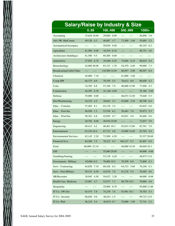| <b>Salary/Raise by Industry &amp; Size</b> |                         |                  |                           |                |  |  |
|--------------------------------------------|-------------------------|------------------|---------------------------|----------------|--|--|
|                                            | 0.99                    | 100499           | 500999                    | $1000+$        |  |  |
| Accounting                                 | 15,626 10.0#            | 29,000 0.0#      | $\cdots$                  | 56,898 7.8     |  |  |
| Adv, PR, MarComm                           | 49,120 4.3              | 48,887 1.7       | 73,500 3.4#               | 55,885<br>2.5  |  |  |
| Aeronautical/Aerospace                     | $---$<br>$\cdots\cdots$ | 59,838 0.4#      | $---$<br>$--- -$          | 69,193 6.2     |  |  |
| Agriculture                                | 61,500 6.0#             | $64,591 -0.1#$   | ----<br>----              | 80,751<br>4.0  |  |  |
| Architecture (buildings)                   | 61,500 9.5              | 69,200 0.0#      | ----<br>$--- -$           | $---$          |  |  |
| Automotive                                 | 27,092 6.7#             | 65,666 -0.2#     | 75,666 8.1#               | 60,018 9.4     |  |  |
| Biotechnology                              | 42,000 20.0#            | 83,333 1.7#      | 82,479 4.4#               | 99,000<br>7.3  |  |  |
| Broadcasting/Cable/Video                   | $---$<br>$\cdots$       | 110,500 14.5#    | 60,957 2.9#               | 88,567 8.4     |  |  |
| Chemical                                   | 45,000<br>7.1#          | $---$            | 61,000 3.4#               |                |  |  |
| Comp HW                                    | 64,375 6.0              | 78,359 5.5       | 76,612 6.0                | 89,450 4.3     |  |  |
| Cons.                                      | 74,395 6.8              | 57,188 7.9       | 80,000 15.9#              | 4.3<br>77,690  |  |  |
| Construction                               | 44,395 0.3#             | $61,166 - 4.0#$  | ----<br>$---$             | 55,186 3.0#    |  |  |
| Defense                                    | 55,000 0.0#             | ----<br>$---$    | 66,072 12.5#              | 75,640 5.5     |  |  |
| Dist/Warehousing                           | 34,318 4.5              | 38,662 2.3       | 82,000 2.5#               | 68,700<br>6.4  |  |  |
| Educ. - Commer.                            | 57,465 8.1              | 62,139 3.5       | $--- -$<br>$\cdots\cdots$ | 63,625 6.0     |  |  |
| Educ. - Post-Sec                           | 46,950<br>1.3           | 53,538 6.2       | 56,483 7.0                | 55,973 5.3     |  |  |
| Educ. - Prim/Sec                           | 58,363 6.8              | 42,895 4.7       | 65,021 4.9                | 50,406 9.6     |  |  |
| Energy                                     | 28,785 0.0#             | 30,910 25.0#     | ----<br>$---$             | 71,037 5.9     |  |  |
| Engineering                                | 69,412 6.2              | 40,401 10.3      | 83,833 12.8#              | 83,701<br>7.0  |  |  |
| Entertainment                              | 63,236 10.4             | 67,733 4.8       | 43,000 19.4#              | 83,702 4.5     |  |  |
| <b>Environmental Services</b>              | 62,145 2.2#             | 73,500 4.2#      | $---$<br>$\cdots$         | 53,337 20.0#   |  |  |
| <b>Financial Svcs</b>                      | 64,200 7.5              | 78,223 9.3       | 106,127 9.7               | 82,407 6.9     |  |  |
| Food                                       | $60,000 - 23.1#$        | $--- -$<br>$---$ | 68,000 19.3#              | 69,049 10.3    |  |  |
| <b>GIS</b>                                 |                         | 55,060 20.0#     |                           | 44,000 4.8#    |  |  |
| Gambling/Gaming                            |                         | 53,138 4.2#      | ----<br>----              | 48,875 11.0    |  |  |
| Government - Military                      | 82,000 -0.2             | 78,800 10.5      | 8.8<br>70,599             | 73,869<br>5.3  |  |  |
| Govt - Contracting                         | 64,858 7.1#             | 88,428 6.5       | 64,333 5.8#               | 76,248 6.3     |  |  |
| Govt - Non-Military                        | 50,333 6.5#             | 42,676 7.8       | 61,218 5.4                | 70,485<br>4.0  |  |  |
| HR/Recruiter                               | 38,945 4.5#             | 54,632 3.2#      | ----<br>----              | 0.0#<br>46,000 |  |  |
| Health Care, Medicine                      | 53,087 4.7              | 52,973 7.3       | 68,750 10.2               | 70,666 4.8     |  |  |
| Hospitality                                | ----                    | 25,000<br>8.7#   | ----                      | 95,000 11.8#   |  |  |
| IT Co.: SW Dev                             | 63,474 7.8              | 74,239 7.6       | 83,981 10.1               | 76,703 5.3     |  |  |
| IT Co.: Security                           | 60,656 9.6              | $60,451 - 1.5$   |                           | 99,723 12.9    |  |  |
| IT Co: Web                                 | 46,219 5.4              | 84,874 - 0.7     | 53,000 1.9#               | 73,741 3.2     |  |  |

T.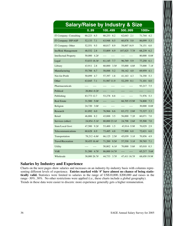|                              |                    |                    | <b>Salary/Raise by Industry &amp; Size</b> |                |
|------------------------------|--------------------|--------------------|--------------------------------------------|----------------|
|                              | 0.99               | 100499             | 500999                                     | 1000+          |
| IT Company: Consulting       | 60.223 6.5         | 60.253 8.2         | 62.643 2.1                                 | 71.744 4.2     |
| IT Company: ISP/ASP          | 52,133<br>7.1      | 63,948<br>8.5      | 60,878<br>5.0                              | 86,099<br>5.3  |
| IT Company: Other            | 52,551<br>9.5      | 8.9<br>68,817      | 58,007 16.9                                | 74,151<br>6.0  |
| <b>Ins/Risk Management</b>   | 48,532 2.8         | 53,809<br>6.9      | 107,825 7.7#                               | 68,239<br>6.2  |
| <b>Intellectual Property</b> | 50,000 4.2#        | $---$              | ----<br>$---$                              | 80,000<br>0.0# |
| Legal                        | 53,033 18.3#       | 61,145<br>7.7      | 96,769<br>5.9                              | 77,250<br>6.1  |
| Library                      | 43,911<br>2.8      | 60,000<br>3.5#     | 55,000<br>4.8#                             | 75,000<br>7.1# |
| Manufacturing                | 55,788<br>6.7      | 58,088 5.2         | 58,142<br>4.0                              | 69,959<br>4.1  |
| Not-for-Profit               | 50,099 4.7         | 57,397 1.8         | 41,163 4.3                                 | 74,350<br>5.3  |
| Other                        | 63,045<br>7.1      | 51,987 11.9        | 52,259 0.1                                 | 71,101<br>8.0  |
| Pharmaceuticals              | $---$<br>$- - - -$ | $---$<br>----      | $---$<br>$---$                             | 93,217<br>7.5  |
| Political                    | $26,864 - 0.2#$    | ----<br>$---$      | ----<br>----                               | ----<br>----   |
| Publishing                   | 83,773 12.7        | 53,278 8.8         | $---$<br>$\cdots$                          | 71,976<br>5.3  |
| <b>Real Estate</b>           | 31,500 5.0#        | $---$<br>----      | 66,705 15.9#                               | 74,800<br>7.3  |
| Religion                     | 24,720<br>3.0#     | $---$<br>$- - - -$ | $- - - -$<br>$---$                         | 30,000<br>0.0# |
| Research                     | 61,092<br>6.0      | 76,966 6.6         | 83,172 2.0#                                | 73,327<br>2.3  |
| Retail                       | 46,806 8.2         | 3.5<br>43,888      | 56,000<br>7.2#                             | 60,071<br>7.0  |
| Services (other)             | 24,854 - 5.1#      | 80,000 23.1#       | 24,798 2.6#                                | 7.0<br>55,500  |
| State/Local Govt             | 47,500 9.2#        | 53,400<br>1.5      | 43,914 - 5.9#                              | 70,029<br>2.9  |
| Telecommunications           | 60,628 6.9         | 73,485 4.8         | 77,900<br>6.0                              | 72,621<br>6.0  |
| Transportation               | 78,212 -6.8#       | 66,125 2.5#        | 45,039 3.1#                                | 70,856<br>4.9  |
| <b>Travel/Recreation</b>     | 30,455 16.4#       | 71,200 9.5#        | 57,530 3.1#                                | 59,765<br>7.1  |
| <b>Utility</b>               | $- - - -$          | 50,802 6.1#        | 70,000 5.8#                                | 85,010<br>0.3  |
| <b>VAR</b>                   | 51,500 4.7#        | 86,000 14.7#       | ----                                       | 65,217 5.6#    |
| Wholesale                    | 38,000 26.7#       | 44,733<br>3.7#     | 47.411 16.7#                               | 68,650 19.9#   |

### **Salaries by Industry and Experience**

Charts on the next pages show salaries and increases on an industry-by-industry basis with columns representing different levels of experience. Entries marked with '#' have almost no chance of being statis**tically valid.** Statistics were limited to salaries in the range of US\$10,000..\$200,000 and raises in the range -30%..30%. No other restrictions were applied (i.e., these charts include a global geography). Trends in these data were easier to discern: more experience generally gets a higher remuneration.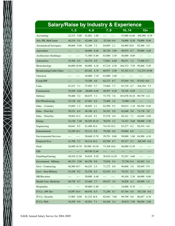| <b>Salary/Raise by Industry &amp; Experience</b> |                 |                  |                 |                  |                         |  |  |
|--------------------------------------------------|-----------------|------------------|-----------------|------------------|-------------------------|--|--|
|                                                  | 13              | 4.6              | 7.9             | 1014             | $15+$                   |  |  |
| Accounting                                       | 22,313 5.0#     | 41,061 1.8#      | ----            | 47,000 14.4#     | 108,368 6.7#            |  |  |
| Adv, PR, MarComm                                 | 49,219<br>5.4   | 42,446<br>2.0    | 55,344 - 0.9    | 76,000 8.2#      | 79,000 9.4#             |  |  |
| Aeronautical/Aerospace                           | 60,666 5.0#     | 52,260<br>7.2    | 64,085 2.1      | 64,969 10.0      | 92,366 3.4              |  |  |
| Agriculture                                      | ----            | 44,000 8.4#      | 56,720 3.8#     | 89,875 0.7       | 95,000 4.4#             |  |  |
| Architecture (buildings)                         | ----<br>----    | 71,500 13.8#     | 63,800 3.5#     | 50,000 0.0#      | ----                    |  |  |
| Automotive                                       | 35.394 6.9      | 54,374 4.9       | 73,063 6.8#     | 90,671<br>7.2    | 77,468 14.7             |  |  |
| Biotechnology                                    | 66,000 10.0#    | 84,000 4.1#      | 67,218<br>4.3#  | 104,333 7.5#     | 95,666 5.2#             |  |  |
| Broadcasting/Cable/Video                         | ----            | 65,282 4.7#      | 60,957 2.9#     | 93,352 11.5      | 112,333 10.9#           |  |  |
| Chemical                                         | ----<br>----    | 45,000<br>7.1#   | 61,000 3.4#     | $---$<br>$--- -$ | ----<br>$--- -$         |  |  |
| Comp HW                                          | ----            | 75,296<br>4.0    | 82,273<br>8.7   | 87,010<br>5.6    | $97,652 -0.0$           |  |  |
| Cons.                                            | 47.237<br>7.1   | 57,992 5.7       | 73,964<br>7.7   | 81.735 4.7       | 104,354 7.5             |  |  |
| Construction                                     | 35,558<br>0.0#  | 48,000 - 8.0#    | 49,597<br>0.2#  | 78,750 6.5#      | ----<br>----            |  |  |
| Defense                                          | 59,480<br>5.2   | 60,675<br>7.1    | 73,778<br>7.6   | 101,078 10.1#    | 89,739<br>2.4           |  |  |
| Dist/Warehousing                                 | 33,138 4.0      | 47,481<br>9.4    | 75,400<br>3.4   | $73,000 - 1.5#$  |                         |  |  |
| Educ. - Commer.                                  | 35,669<br>1.3   | 2.1<br>48,605    | 62,500<br>9.2   | 96,015 1.1#      | 98,294 9.4#             |  |  |
| Educ. - Post-Sec                                 | 38,531 6.4      | 49,198 6.1       | 54,781<br>5.0   | 62,848<br>5.0    | 3.8<br>73,178           |  |  |
| Educ. - Prim/Sec                                 | 39,065 14.3     | 45,443 9.1       | 57,578<br>4.9   | 69,141<br>7.1    | 62,049<br>2.8#          |  |  |
| Energy                                           | 32,120<br>7.4#  | 50,455 18.1#     | 70,670 3.2      | 74,747<br>5.6#   | 98,000<br>3.2#          |  |  |
| Engineering                                      | 49,841 8.5      | 61,488 10.4      | 74,110 10.2     | 83,277<br>8.2    | 82,474 4.0              |  |  |
| Entertainment                                    | 52,250 18.1     | 52,112 9.8       | 79,548 0.6      | 95,060<br>6.8    |                         |  |  |
| <b>Environmental Services</b>                    | ----<br>$--- -$ | 50,668 13.7#     | 39,791 0.0#     | 99,000<br>1.0#   | 84,500 4.3#             |  |  |
| <b>Financial Svcs</b>                            | 41,798 3.7      | 54,214 10.2      | 82,599 8.7      | 95,317 5.1       | 108,349 6.8             |  |  |
| Food                                             | 28,000 16.7#    | $50,500 - 10.3#$ | 73,348 10.6     | 86,000 13.3#     | $\cdots\cdots$<br>$---$ |  |  |
| <b>GIS</b>                                       |                 | 49,530 12.4#     |                 |                  |                         |  |  |
| Gambling/Gaming                                  | 49,554 12.5#    | 54,834 9.3#      | 30,910 14.3#    | 52,547 4.6#      | $---$                   |  |  |
| Government - Military                            | 69,333 2.9#     | 66,358 9.6       | 75,036 9.4      | 72,750 -0.4      | 84,562 3.4              |  |  |
| Govt - Contracting                               | 48,500 10.7     | 66,243 2.5       | 71,272 8.8      | 96,068 3.8       | 85,849 5.9              |  |  |
| Govt - Non-Military                              | 43,249 9.2      | 52,570 4.3       | 62,434 5.4      | 79,321 2.2       | 76,325 3.5              |  |  |
| HR/Recruiter                                     | $---$<br>----   | 50,000 6.4#      | ----<br>$--- -$ | 49,104 2.3#      | 46,000 0.0#             |  |  |
| Health Care, Medicine                            | 40,758 9.7      | 53,468 7.7       | 69,473 3.6      | 76,828 4.3       | 84,999 1.4              |  |  |
| Hospitality                                      |                 | 95,000 11.8#     | $---$           | 25,000 8.7#      |                         |  |  |
| IT Co.: SW Dev                                   | 43,097 10.4     | 60,976 6.5       | 71,298 6.7      | 87,744 6.8       | 102,158<br>6.6          |  |  |
| IT Co.: Security                                 | 17,902 0.0#     | 61,232 10.8      | 82,943 7.8#     | 99,799 9.6       | 86,857 6.7#             |  |  |
| IT Co: Web                                       | 34,250 9.9      | 45,581 7.1       | 64,384 2.4      | 69,832 - 7.9#    | 90,020 2.0#             |  |  |

 $\ge$ m,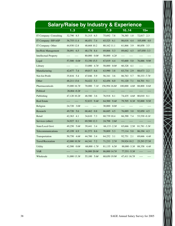|                              |                |                 | <b>Salary/Raise by Industry &amp; Experience</b> |                 |                |
|------------------------------|----------------|-----------------|--------------------------------------------------|-----------------|----------------|
|                              | 13             | 4.6             | 7.9                                              | 1014            | $15+$          |
| IT Company: Consulting       | 32,790 8.5     | 51,315 6.5      | 75,692 7.8                                       | 76,385<br>1.0   | 72,817 2.3     |
| IT Company: ISP/ASP          | 36,755 11.4    | 46,451<br>7.4   | 65,525 6.1                                       | 86,616<br>4.4   | 105,690 4.0    |
| IT Company: Other            | 44,930 12.8    | 48,668 10.2     | 80,162 11.1                                      | 61,866<br>3.9   | 80,858 3.5     |
| <b>Ins/Risk Management</b>   | 38,091 6.5     | 48,178 8.4      | 69,866<br>5.3                                    | 89,662<br>4.5   | 107,050 - 3.3  |
| <b>Intellectual Property</b> | $---$<br>$---$ | 80,000 0.0#     | 50,000<br>4.2#                                   | $---$<br>$---$  | $---$          |
| Legal                        | 57,500 0.0#    | 53,350 15.5     | 67,019<br>4.4                                    | 93,600<br>5.0   | 76,886<br>9.9# |
| Library                      |                | 33,000 4.7#     | 0.0#<br>58,000                                   | 60.328<br>4.1   |                |
| Manufacturing                | 42,677<br>7.4  | 49,017<br>6.6   | 63,990<br>3.8                                    | 83,734<br>2.9   | 88,673 2.2     |
| Not-for-Profit               | 35,816 5.4     | 47.046 5.9      | 3.6<br>56,341                                    | 86,763<br>5.7   | 50,333 - 7.7#  |
| Other                        | 48,211 13.6    | 54,422<br>5.3   | 62,456<br>6.0                                    | 91,120<br>7.1   | 84,701<br>9.1  |
| Pharmaceuticals              | 35,000 16.7#   | 70,000<br>7.1#  | 156,994 16.8#                                    | 100,000 4.8#    | 88,800<br>0.6# |
| Political                    | 26,864 -0.2#   |                 | ----                                             |                 |                |
| Publishing                   | 47,120 10.2#   | 48,580 3.6      | 76.918 8.1                                       | 74.435 4.6#     | 80,010<br>8.1  |
| <b>Real Estate</b>           |                | 52,833 9.4#     | 64,500 9.4#                                      | 79,705 8.3#     | 92,000<br>9.5# |
| Religion                     | 3.0#<br>24,720 | $---$           | 30,000 0.0#                                      | $---$<br>$---$  |                |
| Research                     | 49,720<br>5.6  | 68,462 0.8      | 66,685 4.5                                       | 76,889<br>3.0   | 92,850 4.5     |
| Retail                       | 42,363<br>4.1  | 34,610 7.3      | 68,739 10.4                                      | 66,390 7.4      | 53,530 -0.1#   |
| Services (other)             | 34,927 0.1     | 69,500 12.3     | 24,798 2.6#                                      | $---$           |                |
| State/Local Govt             | 49,250<br>5.6# | 39,441<br>3.4   | $66,133 - 2.3#$                                  | 65,666 2.5#     | 81,781 - 3.3#  |
| Telecommunications           | 45,199 6.9     | 61,573 8.6      | 70,009 5.3                                       | 77,114 5.0      | 86,194 4.3     |
| Transportation               | 50,750 4.6#    | 44,700<br>3.4   | 64,252 3.1                                       | 92,751<br>2.1   | 69,666 4.4#    |
| Travel/Recreation            | 42,000 10.5#   | 44,341<br>7.2   | 71,233 2.7#                                      | 59,924 10.2     | 25,293 27.5#   |
| Utility                      | 42,500 0.0#    | $68,000 - 1.7#$ | 81,135 6.5#                                      | $88,000 - 3.3#$ | 88,358 4.4#    |
| <b>VAR</b>                   | ----           | 36,000 20.0#    | 86,000 14.7#                                     | 77,551 -5.3#    |                |
| Wholesale                    | 31,000 13.3#   | 55,100 5.6#     | 68,650 19.9#                                     | 47.411 16.7#    | $---$          |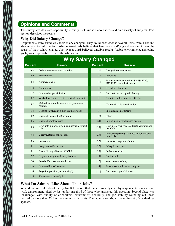### **Opinions and Comments**

The survey affords a rare opportunity to query professionals about ideas and on a variety of subjects. This section describes the results.

### **Why Did Salary Change?**

 $\sum_{\lambda}$ 

Respondents were asked why their salary changed. They could each choose several items from a list and also enter extra information. Almost two-thirds believe that hard work and/or good work ethic was the cause of their salary change. Just over a third believed tangible results (stable environment, achieving goals) was responsible. Here's the whole chart:

|                | <b>Why Salary Changed</b>                              |                |                                                                      |  |  |  |
|----------------|--------------------------------------------------------|----------------|----------------------------------------------------------------------|--|--|--|
| <b>Percent</b> | <b>Reason</b>                                          | <b>Percent</b> | <b>Reason</b>                                                        |  |  |  |
| 33.8           | Did not receive at least 4% raise                      | 1.4            | Changed to management                                                |  |  |  |
| 19.6           | Performance                                            | 1.3            | Longevity                                                            |  |  |  |
| 14.4           | Achieved goals                                         | 1.3            | Earned a certification (i.e., SANS/GIAC,<br>MCSE, CCNA, CISSP, etc.) |  |  |  |
| 11.3           | Annual raise                                           | 1.3            | Departure of others                                                  |  |  |  |
| 11.2           | Increased responsibilities                             | 1.2            | Corporate success/profit sharing                                     |  |  |  |
| 10.2           | Worked hard with a positive attitude and ethic         | 1.1            | Raise to combat other job offer(s)                                   |  |  |  |
| 6.7            | Maintained a stable network or system envi-<br>ronment | 1.1            | Upgraded skills via education                                        |  |  |  |
| 5.4            | Became involved in a high-profile project              | 1.1            | Publicized achievements                                              |  |  |  |
| 4.9            | Changed (reclassified) position                        | 1.0            | Other                                                                |  |  |  |
| 4.6            | Changed employers/job                                  | $[24]$         | Earned a college/advanced degree                                     |  |  |  |
| 3.9            | Grew into a more active planning/management<br>role    | $[23]$         | Used a salary survey to educate your manage-<br>ment/HR              |  |  |  |
| 3.8            | Client/customer satisfaction                           | $[23]$         | Improved speaking, writing, and/or presenta-<br>tion skills          |  |  |  |
| 3.6            | Promotion                                              | $[22]$         | Collective bargaining/union                                          |  |  |  |
| 3.1            | Long time without raise                                | $[22]$         | Salary freeze lifted                                                 |  |  |  |
| 3.1            | Cost of living adjustment/COLA                         | [20]           | Probation ended                                                      |  |  |  |
| 2.7            | Requested/negotiated salary increase                   | $[18]$         | Contractual                                                          |  |  |  |
| 2.0            | Standard/across-the-board raise                        | $[17]$         | Went into consulting                                                 |  |  |  |
| 1.6            | Increased hours/overtime                               | $[14]$         | Relocation within same company                                       |  |  |  |
| 1.6            | Stayed in position (vs. 'quitting')                    | $[11]$         | Corporate buyout/takeover                                            |  |  |  |
| 1.5            | Threatened to leave/quit                               |                |                                                                      |  |  |  |

### **What Do Admins Like About Their Jobs?**

What do admins like about their jobs? It turns out that the #1 property cited by respondents was a casual work environment, cited by just under one-third of those who answered this question. Second place was 'challenge,' with quality of co-workers, environment flexibility, and job stability rounding out those marked by more than 20% of the survey participants. The table below shows the entire set of standard responses.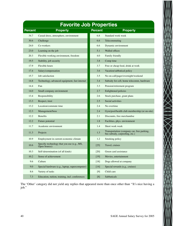| <b>Favorite Job Properties</b> |                                                             |                |                                                                              |  |  |  |
|--------------------------------|-------------------------------------------------------------|----------------|------------------------------------------------------------------------------|--|--|--|
| <b>Percent</b>                 | <b>Property</b>                                             | <b>Percent</b> | <b>Property</b>                                                              |  |  |  |
| 34.7                           | Casual dress, atmosphere, environment                       | 6.8            | Standard work week                                                           |  |  |  |
| 30.6                           | Challenge                                                   | 6.6            | Telecommuting                                                                |  |  |  |
| 24.0                           | Co-workers                                                  | 6.6            | Dynamic environment                                                          |  |  |  |
| 23.0                           | Learning on the job                                         | 5.1            | Walled offices                                                               |  |  |  |
| 20.3                           | Flexible working environment, freedom                       | 4.0            | Family friendly                                                              |  |  |  |
| 19.5                           | Stability, job security                                     | 3.8            | Comp time                                                                    |  |  |  |
| 17.9                           | Flexible hours                                              | 3.7            | Free or cheap food, drink at work                                            |  |  |  |
| 17.4                           | Salary/compensation                                         | 3.6            | Vacation/sabbatical policy                                                   |  |  |  |
| 15.7                           | Job satisfaction                                            | 3.5            | No on-call/pager/overnight/weekend                                           |  |  |  |
| 14.8                           | Technology, advanced equipment, fast internet               | 3.4            | Subsidy for cell, home telecomm, hardware                                    |  |  |  |
| 14.4                           | Fun                                                         | 3.3            | Pension/retirement program                                                   |  |  |  |
| 14.0                           | Small company environment                                   | 2.7            | Enlightened policies                                                         |  |  |  |
| 13.4                           | Responsibility                                              | 2.6            | Stock purchase, grant plans                                                  |  |  |  |
| 13.3                           | Respect, trust                                              | 2.5            | Social activities                                                            |  |  |  |
| 13.2                           | Location/commute time                                       | 2.4            | No overtime                                                                  |  |  |  |
| 12.3                           | Management/boss                                             | 2.4            | Gym/pool/health club membership (or on-site)                                 |  |  |  |
| 12.2                           | <b>Benefits</b>                                             | 2.1            | Discounts, free merchandise                                                  |  |  |  |
| 12.2                           | Future potential                                            | 1.8            | Facilities, phys. environment                                                |  |  |  |
| 11.7                           | Academic environment                                        | 1.4            | Short work week                                                              |  |  |  |
| 11.3                           | Projects                                                    | 1.3            | Transportation (company car, free parking,<br>bus subsidy, carpooling, etc.) |  |  |  |
| 10.9                           | Employment in current economic climate                      | 1.2            | Smoking policy                                                               |  |  |  |
| 10.6                           | Specific technology that you use (e.g., MS,<br>Open Source) | $[25]$         | Travel, cruises                                                              |  |  |  |
| 10.3                           | Self-determination (of all kinds)                           | $[20]$         | Green card assistance                                                        |  |  |  |
| 10.2                           | Sense of achievement                                        | $[19]$         | Movies, entertainment                                                        |  |  |  |
| 9.6                            | Culture                                                     | $[18]$         | Dogs allowed at company                                                      |  |  |  |
| 9.0                            | Special hardware (e.g., laptop, supercomputer)              | $[14]$         | Special rewards (e.g., cruises)                                              |  |  |  |
| 8.6                            | Variety of tasks                                            | [9]            | Child care                                                                   |  |  |  |
| 7.3                            | Education, tuition, training, incl. conferences             | [8]            | Sabbaticals                                                                  |  |  |  |

The 'Other' category did not yield any replies that appeared more than once other than ''It's nice having a job.''

 $\times$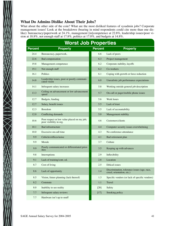### **What Do Admins Dislike About Their Jobs?**

What about the other side of the coin? What are the most disliked features of sysadmin jobs? Corporate management issues! Look at the breakdown (bearing in mind respondents could cite more than one dislike): bureaucracy/paperwork at 24.1%, management [in]competence at 22.8%, leadership issues/poor vision at 18.8%, not enough staff at 17.8%, politics at 17.0%, and budgets at 14.8%.

|                    | <b>Worst Job Properties</b>                                            |                |                                                                           |  |  |  |
|--------------------|------------------------------------------------------------------------|----------------|---------------------------------------------------------------------------|--|--|--|
| <b>Percent</b>     | <b>Property</b>                                                        | <b>Percent</b> | <b>Property</b>                                                           |  |  |  |
| 24.4               | Bureaucracy, paperwork,                                                | 6.6            | Lack of peers                                                             |  |  |  |
| 22.6               | Bad compensation                                                       | 6.3            | Project management                                                        |  |  |  |
| 19.8               | Management competence                                                  | 6.2            | Corporate stability, layoffs                                              |  |  |  |
| 19.1               | Not enough staff                                                       | 6.2            | Co-workers                                                                |  |  |  |
| 16.1               | Politics                                                               | 6.1            | Coping with growth or force reduction                                     |  |  |  |
| 14.8               | Leadership issues, poor or poorly communi-<br>cated vision             | 6.0            | Unrealistic job performance expectations                                  |  |  |  |
| 14.1               | Infrequent salary increases                                            | 5.8            | Working outside general job description                                   |  |  |  |
| 13.3               | Ceiling on advancement or low advancement<br>speed                     | 5.7            | On-call or pager/mobile phone issues                                      |  |  |  |
| 12.7               | Budgets, funding                                                       | 5.6            | Work hours                                                                |  |  |  |
| 12.7               | Salary, benefit issues                                                 | 5.5            | Lack of trust                                                             |  |  |  |
| 12.3               | Boredom                                                                | 5.5            | Lack of accountability                                                    |  |  |  |
| 12.0               | Conflicting demands                                                    | 5.0            | Management stability                                                      |  |  |  |
| 10.6               | Poor respect or low value placed on my job;<br>poor visibility in org. | 4.6            | Customers/clients                                                         |  |  |  |
| 10.1               | <b>Bad</b> infrastructure                                              | 4.4            | Computer security issues overwhelming                                     |  |  |  |
| 10.0               | Excessive on-call time                                                 | 4.3            | No conference attendance                                                  |  |  |  |
| 9.9                | Cubicles/offices/noise                                                 | 4.1            | Bad retirement plan                                                       |  |  |  |
| 9.9                | Morale                                                                 | 3.7            | Culture                                                                   |  |  |  |
| 9.9                | Poorly communicated or differentiated prior-<br>ities                  | 3.5            | Keeping up with advances                                                  |  |  |  |
| 9.8                | Interruptions                                                          | 2.9            | Inflexibility                                                             |  |  |  |
| 9.1                | Lack of training/cont. ed.                                             | 2.8            | Location                                                                  |  |  |  |
| 8.7                | Cost of living                                                         | 2.5            | Ethical issues                                                            |  |  |  |
| 8.6                | Lack of opportunity                                                    | 1.4            | Discrimination, tolerance issues (age, race,<br>creed, orientation, etc.) |  |  |  |
| 8.5                | Vision, future planning (lack thereof)                                 | 1.3            | Specific vendors (or lack of specific vendors)                            |  |  |  |
| 8.2                | Commute                                                                | $1.1\,$        | Travel                                                                    |  |  |  |
| $\boldsymbol{8.0}$ | Inability to see reality                                               | $[20]$         | Safety                                                                    |  |  |  |
| $7.7\,$            | Infrequent salary reviews                                              | $[17]$         | Smoking policy                                                            |  |  |  |
| 7.7                | Hardware isn't up to snuff                                             |                |                                                                           |  |  |  |

 $\bigtimes$   $\bigtimes$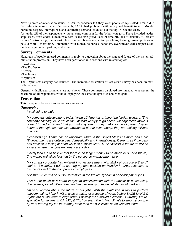Next up were compensation issues: 21.8% respondents felt they were poorly compensated; 17% didn't feel salary increases came often enough; 12.5% had problems with salary and benefit issues. Morale, boredom, respect, interruptions, and conflicting demands rounded out the top 15. See the chart.

Just under 2% of the respondents wrote an extra comment for the 'other' category. These included leadership issues, dress codes, human resources, 'executive greed,' lack of time off, lack of benefits, 'Microsoft culture,' outsourcing, Sarbanes-Oxley, slow reimbursement, union problems, training issues, policies on pets at work, 'everything,' interaction with human resources, nepotism, overtime/on-call compensation, outdated equipment, parking, and stress.

#### **Survey Comments**

Hundreds of people entered comments in reply to a question about the state and future of the system administration profession. They have been partitioned into sections with related topics:

- Frustration
- The Profession
- Advice
- The Future
- Optimism

The 'Optimism' category has returned! The incredible frustration of last year's survey has been dramatically reduced.

Generally, duplicated comments are not shown. Those comments displayed are intended to represent the ensemble of all respondents without displaying the same thought over and over again.

#### **Frustration**

This category is broken into several subcategories.

#### *Outsourcing*

It's all going to India

My company outsourcing to India, laying off Americans, importing foreign workers. [The company doesn't] value education, instead want[s] to go cheap. Management knows it is hard to find a job and that you will stay even if they make you work pager duty all hours of the night so they take advantage of that even though they are making millions in profits.

Generalist Sys Admin has an uncertain future in the United States as more and more IT departments are outsourced, domestically and internationally. It seems as if the general practice is facing or soon will face a critical time. IT Specialists in the future will be as rare as steam engine engineers are today.

[Facts] lead me to believe that there is no longer money to be made in IT (or a future). The money will all be leeched by the outsource-management layer.

My current corporate has entered into an agreement with IBM out outsource their IT staff to IBM India. I will be starting my new position on Monday in direct response to this dis-respect to the company's IT employees.

Not sure which will be outsourced more in the future: sysadmin or development jobs.

This is not much of a future in system administration with the advent of outsourcing, downward spiral of billing rates, and an oversupply of technical staff in all markets.

I'm very worried about the future of our jobs. With the explosion in tools to perform telecommuting, I fear it will only be a matter of a couple of years before SAGE level 1 & 2 jobs are outsourced to large firms. Possibly even moved overseas. Currently I'm responsible for servers in CA, MO, & TX, however I live in WI. What's to stop my company from moving my job to Bombay other than the skill levels of the workers there?

 $\sum_{i=1}^{n}$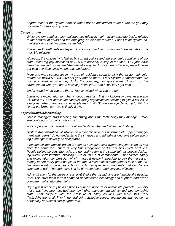I figure most of the system administration will be outsourced in the future, so you may not need this survey anymore.

#### *Compensation*

While system administration salaries are relatively high, on an absolute basis, relative to the amount of hours and the ambiguity of the time required, I don't think system administration is a fairly-compensated field.

The entire IT staff feels underpaid. I quit my job to finish school and returned this summer. Big mistake.

Although, the University is limited by current politics and the economic conditions of our state, receiving pay increases of 1.25% is basically a slap in the face. Our jobs have been ''remapped'' so we are ''theoretically eligible'' for overtime. However, we will never get paid overtime since no one has budgeted.

More and more companies in my area of residence seem to think that system administrators are worth \$30-\$35,000 per year and no more. I feel System Administrators are not recognized for what they do for the company, nor appreciated. ''Any kid off the street can do what you do" is basically how I feel... and how I feel I get paid.

Under valued when you are there. Highly valued when you are not.

Lower your expectation for what a ''good raise'' is. IT at my University gave an average 2% raise in FY '04 across the campus, many organizations deciding to give a flat 2% to everyone rather than give some people less. In FY'05 the average did go up to 3%, but "great performance" was still only 3.9%.

#### *Appreciation/Understanding*

Unless managers start learning something about the technology they manage, I foresee continuous turmoil in this industry.

A lot of people in organizations don't understand what and when we do thing.

System Administration will always be a dynamic field, but unfortunately, upper management and ''users'' do not understand the changes and will take a long time before allowing a change to actually be acceptable.

I feel that system administration is seen as a singular field where everyone is equal and does the same job. There is very little recognition of different skill levels or duties. People bolting servers into racks are generally seen in the same light as people designing overall infrastructure involving 100's or 1000's of components. That causes salary and expectation compression which makes it nearly impossible to pay the necessary money to hire really good people at the top. It also makes management look at the entire administration group as a bunch of hot swappable components that can be exchanged at will. The end result is a lot of wasted effort and very low efficiency.

Administration (of the bureaucratic sort) thinks that sysadmins are fungible like desktop PCs. This buys them lowest-common-denominator technology and support, and drives competent folks into other fields.

[My biggest problem:] being asked to support insecure or unfeasible projects − usually those that have been decided upon by higher management with limited input by techie staff. That coupled with the pressure of "Why couldn't you make this work (faster/cheaper/at all)?'' or in general being asked to support technology that you do not personally or professionally agree with.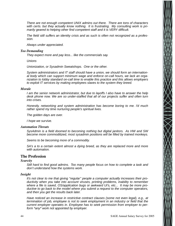There are not enough competent UNIX admins out there. There are tons of characters with certs. but they actually know nothing. It is frustrating. My consulting work is primarily geared to helping other find competent staff and it is VERY difficult.

The field still suffers an identity crisis and as such is often not recognized as a profession.

Always under appreciated.

#### *Too Demanding*

They expect more and pay less... like the commercials say.

Unions

Unionization, or Sysadmin Sweatshops. One or the other.

System administrators and IT staff should have a union, we should form an international body which can support minimum wage and enforce on-call hours, we lack an organization to lobby standard on-call time to enable this practice and this allows employers to exploit IT services by making employees slaves to the system they breed.

#### *Morale*

I am the senior network administrator, but due to layoffs I also have to answer the help desk phone now. We are so under-staffed that all of our projects suffer and often turn into crises.

Honestly, networking and system administration has become boring to me. I'd much rather spend my time nurturing people's spiritual lives.

The golden days are over.

I hope we survive.

#### *Automation Threats*

SysAdmin is a field doomed to becoming nothing but digital janitors. As HW and SW become more commoditized, most sysadmin positions will be filled by trained monkeys.

Seems to be becoming more of a commodity.

SA's a to a certain extent almost a dying breed, as they are replaced more and more with automation.

#### **The Profession**

#### *Scarcity*

Still hard to find good admins. Too many people focus on how to complete a task and don't understand how the systems work.

#### *Insight*

It's not clear to me that giving ''regular'' people a computer actually increases their productivity when you take into account viruses, printing problems, inability to remember where a file is saved, OS/application bugs or awkward UI's, etc... It may be more productive to go back to the model where you submit a request to the computer operators, and then you get the results back later.

Have noticed an increase in restrictive contract clauses (some not even legal), e.g., at termination of job, employee is not to seek employment in an industry or field that the current employer operates in. Employee has to seek permission from employer to perform  $*$ any $*$  work not appointed by employer.

 $\sum_{i=1}^{n}$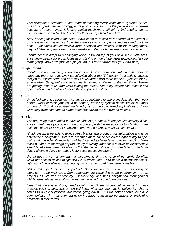This occupation becomes a little more demanding every year: more systems or services to support, new technology, more productivity, etc. But the pay does not increase because of these things. It is also getting much more difficult to find another job, as most of what I see advertised is contract/part-time, which I won't do.

After working for years in the field, I have come to realize how enormous the stress is on a sysadmin. Sysadmins hold the main key to a company's success and continuance. Sysadmins should receive more attention and respect from the management, they hold the company's balls.. one mistake and the whole business could go down.

People need to adapt to a changing world. Stay on top of your field, make your presence know, keep your group focused on staying on top of the latest technology, let your manager(s) know how good of a job you do (but don't always toot-your-own-horn).

#### *Compensation*

People who are expecting salaries and benefits to be commensurate with the dot-com times are the ones constantly complaining about the IT industry. I essentially created this job for myself here, and hard work is rewarded with more money... just like for ever yone else. Sadly, we're not super-special anymore. We're not the new thing. People are getting used to us, and we're joining the ranks. But in my experience, respect and appreciation and the ability to drive the company is still there.

#### *Stress*

When looking at job postings, they are also requiring a lot more specialization than ever before. Most of these jobs could be done by most any system administrator, but most of them don't qualify because the laundry list of the specialized applications or hardware they want someone to support the first day on the job with no training.

#### **Advice**

The only thing that is going to save us jobs in sys admin, is people with security clearances. i feel these jobs going to be outsourced, with the exception of touch labor to rebuild machines, or to work in environments that no foreign nationals can work in

All admins must be able to work across brands and products. As automation and large enterprise management software becomes more sophisticated the opportunity to specialize will dwindle. Companies will be incented to have fewer people handling fewer tasks but on a wider range of products by reducing labor costs in favor of investment in smart IT infrastructures. It's obvious that the current shift on offshore labor in the IT industry shows a desire to reduce labor costs across the board.

We all need a way of demonstrating/communicating the value of our work. So often we're not noticed unless things BREAK at which time we're under a microscope/spotlight; but if things always run smoothly (which is our goal) then we're ''invisible''.

Still a craft – part science and part art. Some management views this as entirely an expense – to be minimized. Some management views this as an opportunity – to run projects as vehicles of visibility. Occasionally one finds enlightened management which views this as an enabling investment – enabling one to do business.

I feel that there is a strong need to fold into SA training/education some business process training, such that an SA will know what management is looking for when it comes to a critical process that keeps going down. This will better enable the SA to communicate with management when it comes to justifying purchases or explaining problems in their terms.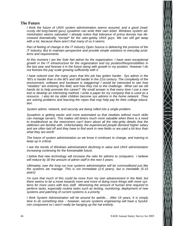#### **The Future**

I think the future of UNIX system administration seems assured, and a good (read: crusty old long-haired guru) sysadmin can write their own ticket. Windows system administration seems saturated. I already notice that tolerance of prima donnas has decreased dramatically, \*except\* for the uber-geeky UNIX guys. We can still get away with a lot, because there aren't that many of us it seems.

Part of feeling of change in the IT industry Open Source is delivering the promise of the IT industry. But to maintain perspective and provide simple solutions to everyday problems and requirements.

At this moment I am the Sole Net admin for the organization. I have seen exceptional growth in the IT infrastructure for the organization and my position/Responsibilities in the last year and foresee it in the future along with growth in my position. However I do not foresee the pay scale growing sufficiently with it.

I have noticed over the many years that this job has gotten harder. Sys admin in the '90's is harder than in the 80's and still harder in the 21st century. The complexity of the environment, software and hardware is staggering! I would be interested to see how ''newbies'' are entering this field, and how they rise to the challenge. What can we old hands do to help promote this career? My small answer is that every time I use a new tool or develop an interesting method, I write a paper for my company that is used as a resource. I also let my older children become sys admins in the home network. They are solving problems and learning the ropes that may help pay for their college education.

System admin, network, and security are being rolled into a single problem.

Sysadmin is getting easier and more automated so that newbies without much skills can manage servers. This makes old timers much more valuable when there is a need to troubleshoot as the newcomers can't learn about all the nitty-gritty details that the oldtimers are familiar with. Unfortunately, the experienced people demand higher salary and are often laid off and they have to find work in new fields or are paid a lot less than what they are worth

The future of system administration as we know it continues to change, and training to keep up is critical.

I see the trends of Windows administration declining in value and UNIX administration increasing continuing for the foreseeable future.

I belive that new technology will increase the ratio for admins to computers. I believe will reduce by 30 the amount of admin staff in the next 5 years.

Ultimately, over the long run true systems administration will be commoditized just like the systems we manage. This is not immediate (2-6 years), but is inevitable (5-15 years)

I'm sure that much of this could be more from my own advancement in the field, but there seems to be a move towards more and more of doing more things with more systems for more users with less staff. Minimizing the amount of human time required to perform tasks, especially routine tasks such as testing, monitoring, deployment of new systems and patching of current systems is a priority.

I think System Administration will be around for awhile... After 19 years, It is simply time to do something else − however, secure systems engineering will have a SysAdmin component so I won't really be hanging up the hat entirely.

 $\geq$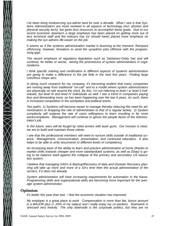I've been living in/observing sys-admin land for over a decade. What I see is that Systems Administrators are more involved in all aspects of technology (incl. phones and physical security tech), but given less resources to accomplish these goals. Due to our recent economic downturn a large emphasis has been placed on getting more out of less technical staff and the industry has (or should have) placed more emphasis on making the sys admins life easier on the job.

It seems as if the systems administration market is booming at the moment. Rampant offshoring, however, threatens to send the sysadmin jobs offshore with the programming gigs.

The recent emphasis of regulatory legislation such as Sarbanes-Oxley has and will continue, for better or worse, raising the prominence of system administrators in organizations.

I think specific training and certification in different aspects of systems administration are going to make a difference in the job field in the next five years. Finding large Unix/linux shops also.

In doing much research for my company, it's becoming evident that many companies are moving away from traditional ''on-call'' and to a model where system administrators are physically on-site around the clock. By this, I'm not referring to level I or level II individuals, but level III and level IV individuals as well. I see a trend in companies paying less and demanding more, as has been happening over the last 4 years. As such, there is increased competition in the workplace and political works.

Two paths: 1) Systems will become easier to manage thereby reducing the need for administrators or dropping the role of administrator to that of a regular lackey. 2) System complexity will outgrow the rate of users willingness to learn resulting in far more work/complaints. Management will continue to ignore the people factor of the Administrator's job.

In the future, wars will be fought by robot armies with laser guns. Our mission is clear; we are to build and maintain those robots.

I see that the professional members will need to nurture skills outside of traditional science: Management, communication, presentation, and continued education. It also helps to be able to write documents to different levels of competency.

An increasing ease of the ability to learn and practice administration at home (thanks to market shifts towards cheaper and more standardized systems, as well as Ebay) is going to be balance itself against the collapse of the primary and secondary US education system.

I believe that managing SAN's & Backup/Recovery of data and Disaster Recovery planning will take up more and more of a SA's time then the actual administration of the servers, if it does not already.

System administration will have increasing requirements for automation in the future. Programming skills and organizational skills are becoming more important for the average system administrator.

#### **Optimism**

It's better this year than last. I feel the economic situation has improved.

My employer is a great place to work. Compensation is more than fair, bonus amount is a MAJOR plus (> 20% of my salary) and I really enjoy my co-workers. Teamwork is stressed very heavily. The only downside is the corporate politics, but they are no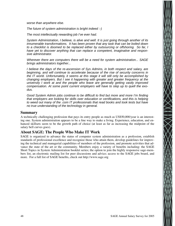worse than anywhere else.

The future of system administration is bright indeed :-)

The most intellectually rewarding job I've ever had.

System Administration, I believe, is alive and well. It is just going through another of its innumerable transformations. It has been proven that any task that can be boiled down to a checklist is doomed to be replaced either by outsourcing or offshoring. So far, I have yet to discover anything that can replace a competent, imaginative and responsive administrator.

Wherever there are computers there will be a need for system administration... SAGE brings administrators together...

I believe the days of the re-ascension of Sys Admins, in both respect and salary, are beginning, and will continue to accelerate because of the rise of security concerns in the IT world. Unfortunately, it seems at this stage it will still only be accomplished by changing employers. But I see it happening with greater and greater frequency at the university I work at and the people who leave are generally getting vastly improved compensation. At some point current employers will have to step up to quell the exodus.

Good System Admin jobs continue to be difficult to find but more and more I'm finding that employers are looking for skills over education or certifications, and this is helping to weed out many of the .com IT professionals that read books and took tests but have no true understanding of the technology in general.

#### **Summary**

A technically challenging profession that pays its entry people as much as US\$50,000/year is an interesting one. System administration appears to be a fine way to make a living. Experience, education, and enhanced skillsets seem to be the growth path of choice (at least as far as increasing the midpoint of the salary bell curves goes).

#### **About SAGE: The People Who Make IT Work**

SAGE is organized to advance the status of computer system administration as a profession, establish standards of professional excellence and recognize those who attain them, develop guidelines for improving the technical and managerial capabilities of members of the profession, and promote activities that advance the state of the art or the community. Members enjoy a variety of benefits including: the SAGE Short Topics in System Administration booklet series; the option to join the highly responsive sage-members list, an electronic mailing list for peer discussions and advice; access to the SAGE jobs board, and more. For a full list of SAGE benefits, check out http://www.sage.org

 $\sum_{i=1}^{n}$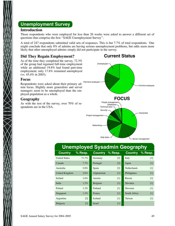### **Unemployment Survey**

### **Introduction**

Those respondents who were employed for less than 26 weeks were asked to answer a different set of questions that comprise the first ''SAGE Unemployment Survey''.

A total of 247 respondents submitted valid sets of responses. This is but 7.7% of total respondents. One might conclude that only 8% of admins are having serious unemployment problems, but odds seem more likely that other unemployed admins simply did not participate in the survey.

### **Did They Regain Employment?**

**Current Status**

As of the time they completed the survey, 72.3% of the group had regained full-time employment while an additional 19.8% had found part-time employment; only 17.8% remained unemployed (vs. 45.4% in 2003).

#### **Focus**

Respondents were asked about their primary admin focus. Slightly more generalists and server managers seem to be unemployed than the employed population as a whole.

### **Geography**

As with the rest of the survey, over 70% of respondents are in the USA.



### **Unemployed Sysadmin Geography**

| <b>Country</b>       | % Resp. |             | Country % Resp. | <b>Country</b> | $%$ Resp. |
|----------------------|---------|-------------|-----------------|----------------|-----------|
| <b>United States</b> | 71.7%   | Germany     | $[2]$           | Italy          | $[1]$     |
| Canada               | $7.7\%$ | Portugal    | $[2]$           | Japan          | $[1]$     |
| Australia            | $2.8\%$ | Spain       | $[2]$           | Netherlands    | $[1]$     |
| United Kingdom       | $2.0\%$ | Afghanistan | $[1]$           | Philippines    | $[1]$     |
| Ireland              | $1.6\%$ | Austria     | $[1]$           | Russia         | $[1]$     |
| India                | $1.2\%$ | Belgium     | $[1]$           | Slovakia       | $[1]$     |
| Poland               | $1.2\%$ | Finland     | $[1]$           | Slovenia       | $[1]$     |
| Singapore            | $1.2\%$ | France      | $[1]$           | South Africa   | $[1]$     |
| Argentina            | $[2]$   | Iceland     | $[1]$           | Taiwan         | [1]       |
| Bulgaria             | $[2]$   | Israel      | $[1]$           |                |           |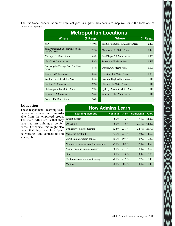The traditional concentration of technical jobs in a given area seems to map well onto the locations of those unemployed.

| <b>Metropolitan Locations</b>                       |           |                                 |                   |  |  |
|-----------------------------------------------------|-----------|---------------------------------|-------------------|--|--|
| <b>Where</b>                                        | $%$ Resp. | <b>Where</b>                    | $%$ Resp.         |  |  |
| N/A                                                 | $45.9\%$  | Seattle/Redmond, WA Metro Areas | $2.4\%$           |  |  |
| San Francisco/San Jose/Silicon Val-<br>ley, CA Area | $7.7\%$   | Montreal, QC Metro Area         | $2.4\%$           |  |  |
| Chicago, IL Metro Area                              | $6.8\%$   | San Diego, CA Metro Area        | $1.9\%$           |  |  |
| New York Metro Area                                 | 5.3%      | Toronto, ON Metro Area          | $1.4\%$           |  |  |
| Los Angeles/Orange Co., CA Metro<br>Area            | $4.8\%$   | Denver, CO Metro Area           | $1.0\%$           |  |  |
| Boston, MA Metro Area                               | $3.4\%$   | Houston, TX Metro Area          | $1.0\%$           |  |  |
| Washington, DC Metro Area                           | $3.4\%$   | London, England Metro Area      | [1]               |  |  |
| Austin, TX Metro Area                               | $2.9\%$   | Ottawa, ON Metro Area           | $[1]$             |  |  |
| Philadelphia, PA Metro Area                         | $2.9\%$   | Sydney, Australia Metro Area    | [1]               |  |  |
| Atlanta, GA Metro Area                              | $2.4\%$   | Vancouver, BC Metro Area        | $\lceil 1 \rceil$ |  |  |
| Dallas, TX Metro Area                               | $2.4\%$   |                                 |                   |  |  |

### **Education**

These respondents' learning techniques are almost indistinguishable from the employed group. The main difference is that they have had less training at conferences. Of course, this might also mean that they have less ''peer networking'' and contacts to find a new job.

| <b>How Admins Learn</b>                 |                   |          |                 |         |  |  |  |  |
|-----------------------------------------|-------------------|----------|-----------------|---------|--|--|--|--|
| <b>Learning Methods</b>                 | <b>Not at all</b> | A bit    | <b>Somewhat</b> | A lot   |  |  |  |  |
| Taught myself                           | 5.3%              | $1.2\%$  | $9.3\%$         | 84.2%   |  |  |  |  |
| On the job                              | 8.9%              | $4.9\%$  | 21.5%           | 64.8%   |  |  |  |  |
| University/college education            | 32.8%             | $23.1\%$ | 22.3%           | 21.9%   |  |  |  |  |
| Mentor of any kind                      | $43.3\%$          | $23.1\%$ | $19.0\%$        | 14.6%   |  |  |  |  |
| Certification program courses           | $60.3\%$          | $19.4\%$ | $10.9\%$        | 9.3%    |  |  |  |  |
| Non-degree tech sch, coll/univ. courses | 79.8%             | 8.5%     | 7.3%            | $4.5\%$ |  |  |  |  |
| Vendor-specific training courses        | 66.0%             | 21.1%    | 9.3%            | 3.6%    |  |  |  |  |
| Other                                   | 96.8%             | 1.6%     | $0.8\%$         | $0.8\%$ |  |  |  |  |
| Conferences/commercial training         | $70.0\%$          | 21.9%    | $7.7\%$         | $0.4\%$ |  |  |  |  |
| Military                                | 98.8%             | $0.4\%$  | $0.4\%$         | $0.4\%$ |  |  |  |  |

 $\times$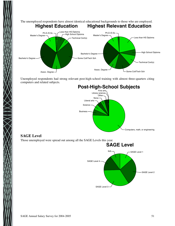

Unemployed respondents had strong relevant post-high-school training with almost three-quarters citing computers and related subjects.



### **SAGE Level**

Those unemployed were spread out among all the SAGE Levels this year.

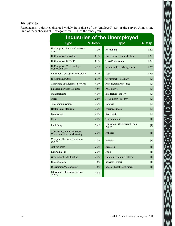### **Industries**

Respondents' industries diverged widely from those of the 'employed' part of the survey. Almost onethird of them checked 'IT' categories vs. 10% of the other group.

| <b>Industries of the Unemployed</b>                           |         |                                             |                   |  |  |
|---------------------------------------------------------------|---------|---------------------------------------------|-------------------|--|--|
| <b>Type</b>                                                   | % Resp. | <b>Type</b>                                 | $%$ Resp.         |  |  |
| IT Company: Software Develop-<br>ment                         | 7.3%    | Accounting                                  | 1.2%              |  |  |
| IT Company: Consulting                                        | 6.1%    | Government - Non-Military                   | 1.2%              |  |  |
| IT Company: ISP/ASP                                           | 6.1%    | Travel/Recreation                           | 1.2%              |  |  |
| IT Company: Web Develop-<br>ment/Webmaster                    | 6.1%    | Insurance/Risk Management                   | 1.2%              |  |  |
| Education - College or University                             | $6.1\%$ | Legal                                       | 1.2%              |  |  |
| IT Company: Other                                             | 5.7%    | Government - Military                       | $[2]$             |  |  |
| <b>Consulting and Business Services</b>                       | 4.9%    | Aeronautical/Aerospace                      | $\lceil 2 \rceil$ |  |  |
| Financial Services (all kinds)                                | $4.5\%$ | Automotive                                  | $\lceil 2 \rceil$ |  |  |
| Manufacturing                                                 | 4.0%    | <b>Intellectual Property</b>                | $\lceil 2 \rceil$ |  |  |
| Other                                                         | 3.6%    | IT Company: Security                        | $[2]$             |  |  |
| Telecommunications                                            | 3.2%    | Defense                                     | $\lceil 2 \rceil$ |  |  |
| Health Care, Medicine                                         | $3.2\%$ | Pharmaceuticals                             | [2]               |  |  |
| Engineering                                                   | 2.8%    | <b>Real Estate</b>                          | $[2]$             |  |  |
| Retail                                                        | 2.8%    | Transportation                              | [1]               |  |  |
| Publishing                                                    | 2.4%    | Education - Commercial, Train-<br>ing, etc. | $[1]$             |  |  |
| Advertising, Public Relations,<br>Communication, or Marketing | 2.0%    | Political                                   | $[1]$             |  |  |
| Computer Hardware/Semicon-<br>ductor                          | 2.0%    | Religion                                    | [1]               |  |  |
| Not-for-profit                                                | 2.0%    | Research                                    | $[1]$             |  |  |
| Entertainment                                                 | 2.0%    | Food                                        | [1]               |  |  |
| Government - Contracting                                      | 2.0%    | Gambling/Gaming/Lottery                     | [1]               |  |  |
| Biotechnology                                                 | 1.6%    | Services (other)                            | [1]               |  |  |
| Distribution/Warehousing                                      | $1.6\%$ | <b>State or Local Government</b>            | $[1]$             |  |  |
| Education - Elementary or Sec-<br>ondary                      | 1.6%    |                                             |                   |  |  |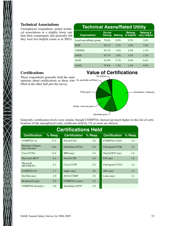### **Technical Associations**

Unemployed respondents joined technical associations at a slightly lower rate than their counterparts and generally felt they were less helpful (same as in 2003).

| <b>Technical Assns/Rated Utility</b> |                  |               |                            |                                     |  |
|--------------------------------------|------------------|---------------|----------------------------|-------------------------------------|--|
| <b>Organization</b>                  | Do not<br>belong | <b>Belong</b> | <b>Belong</b><br>& helpful | <b>Belong &amp;</b><br>very helpful |  |
| Local user/affinity group            | 79.4%            | 8.9%          | 9.3%                       | 2.4%                                |  |
| <b>IEEE</b>                          | $93.1\%$         | $3.2\%$       | $2.0\%$                    | 1.6%                                |  |
| <b>USENIX</b>                        | $95.1\%$         | 1.6%          | 2.0%                       | 1.2%                                |  |
| <b>SAGE</b>                          | 92.7%            | $2.8\%$       | $3.2\%$                    | 1.2%                                |  |
| <b>ACM</b>                           | 91.9%            | 5.7%          | 2.0%                       | $0.4\%$                             |  |
| <b>SANS</b>                          | 97.6%            | $1.2\%$       | 1.2%                       | $0.0\%$                             |  |

### **Certifications**

# **Value of Certifications** No opinion



Generally good-

Generally, certification levels were similar, though COMPTIA showed up much higher in this list of certifications of the unemployed (only certificates held by 1% or more are shown).

| <b>Certifications Held</b>          |           |                      |         |                      |         |  |
|-------------------------------------|-----------|----------------------|---------|----------------------|---------|--|
| <b>Certification</b>                | $%$ Resp. | <b>Certification</b> | % Resp. | <b>Certification</b> | % Resp. |  |
| $COMPTIAA+$                         | 17.4      | Novell CNA           | 3.6     | COMPTIA I-Net+       | 1.6     |  |
| Bachelor's Degree<br>(any relevant) | 14.6      | Sun/Solaris SCSA     | 2.8     | Checkpoint CCSE      | 1.6     |  |
| Cisco CCNA                          | 13.4      | IBM (any)            | 2.4     | Oracle/OCP (any)     | 1.6     |  |
| Microsoft MCS*                      | 8.1       | <b>Novell CNE</b>    | 2.0     | $LPI$ (any)          | 1.6     |  |
| Microsoft<br>$MCP/MCP+i$            | 8.1       | Cisco CCNP           | 2.0     | Checkpoint CCSA      | 1.6     |  |
| COMPTIA N+                          | 7.7       | Apple (any)          | 2.0     | $\angle$ AIX (any)   | 1.2     |  |
| Red Hat (any)                       | 4.9       | (ICS)2 CISSP         | 2.0     | Lotus $(any)$        | 1.2     |  |
| Brainbench (any)                    | 4.9       | COMPTIA Linux+       | 1.6     |                      |         |  |
| COMPTIA Security+                   | 4.9       | Sun/Solaris SCN*     | 1.6     |                      |         |  |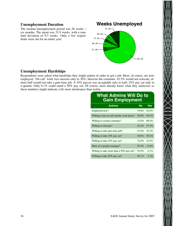### **Unemployment Duration**

The median unemployment period was 26 weeks − six months. The mean was 31.9 weeks, with a standard deviation of 9.3 weeks. Only a few respondents were out for an entire year.

### **Weeks Unemployed** 26..30 36..40  $41.45$ 46..50 51..52 31..35

### **Unemployment Hardships**

Respondents were asked what hardships they might endure in order to get a job. Most, of course, are now employed. 'On call' work was onerous only to 30%; likewise the commute. 42.5% would not relocate; almost half would not take a part-time job. A 10% paycut was acceptable only to half; 25% pay cut only to a quarter. Only 6.1% could stand a 50% pay cut. Of course, most already know what they achieved, so these numbers might indicate a bit more intolerance than reality.

### **What Admins Will Do to Gain Employment**

| <b>Actions</b>                            | <b>No</b> | <b>Yes</b> |
|-------------------------------------------|-----------|------------|
| Employed now?                             | 19.0%     | 81.0%      |
| Willing to do on-call outside work hours? | $30.8\%$  | 69.2%      |
| Willing to extend commute?                | 31.6%     | 68.4%      |
| Willing to relocate?                      | 42.5%     | 57.5%      |
| Willing to take part-time job?            | 47.8%     | $52.2\%$   |
| Willing to take 10% pay cut?              | 49.8%     | $50.2\%$   |
| Willing to take 25% pay cut?              | 74.5%     | 25.5%      |
| More of a people manager?                 | 87.0%     | $13.0\%$   |
| Willing to take more than a 50% pay cut?  | 93.9%     | 6.1%       |
| Willing to take 50% pay cut?              | $94.7\%$  | 5.3%       |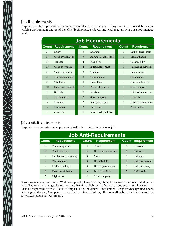### **Job Requirements**

Respondents chose properties that were essential in their new job. Salary was #1, followed by a good working environment and good benefits. Technology, projects, and challenge all beat out good management.

| <b>Job Requirements</b> |                    |                |                       |              |                              |  |
|-------------------------|--------------------|----------------|-----------------------|--------------|------------------------------|--|
| Count                   | <b>Requirement</b> | <b>Count</b>   | <b>Requirement</b>    | <b>Count</b> | <b>Requirement</b>           |  |
| 36                      | Salary             | $\overline{5}$ | Location              | $\mathbf{1}$ | Sufficient resources         |  |
| 18                      | Good environment   | $\overline{5}$ | Advancement potential | $\mathbf{1}$ | Standard hours               |  |
| 17                      | <b>Benefits</b>    | $\overline{4}$ | Flexibility           | 1            | Responsibility               |  |
| 15                      | Good co-workers    | $\overline{4}$ | Independence/trust    | 1            | Purchasing authority         |  |
| 13                      | Good technology    | 3              | Training              | $\mathbf{1}$ | Internet access              |  |
| 13                      | Enjoyable projects | 3              | Telecommute           | $\mathbf{1}$ | High morale                  |  |
| 11                      | Challenge          | $\mathfrak{D}$ | Nice office           | $\mathbf{1}$ | Handicap friendly            |  |
| 10                      | Good management    | $\overline{2}$ | Work with people      | $\mathbf{1}$ | Good company                 |  |
| 8                       | Stability          | $\overline{c}$ | Vacation              | 1            | <b>Established processes</b> |  |
| 8                       | Freedom/trust      | $\overline{2}$ | Small company         | 1            | Diversity                    |  |
| $\mathbf Q$             | Flex time          | $\overline{c}$ | Management pos.       | 1            | Clear communication          |  |
| $\overline{7}$          | Education          | $\overline{2}$ | Dress code            | $\mathbf{1}$ | Appreciation                 |  |
| 6                       | Commute            | 1              | Vendor independence   |              |                              |  |

### **Job Anti-Requirements**

 $\sum_{i=1}^{n}$ 

Respondents were asked what properties had to be avoided in their new job.

| <b>Job Anti-Requirements</b> |                            |                        |                       |                       |                          |  |
|------------------------------|----------------------------|------------------------|-----------------------|-----------------------|--------------------------|--|
| <b>Count</b>                 | <b>Requirement</b>         | <b>Count</b>           | <b>Requirement</b>    |                       | <b>Count Requirement</b> |  |
| 15                           | Bad management             | $\overline{4}$         | Travel                | $\overline{2}$        | Dress code               |  |
| 14                           | Bad technology             | $\overline{4}$         | Bad corporate mission | $\mathcal{D}_{\cdot}$ | Bad salary               |  |
| 9                            | Unethical/illegal activity | 3                      | <b>Sales</b>          | $\overline{c}$        | <b>Bad hours</b>         |  |
| 9                            | Bad commute                | 3                      | <b>Bad schedule</b>   | $\mathfrak{D}$        | <b>Bad environment</b>   |  |
| $7\phantom{.0}$              | Lack of challenge          | 3                      | Bad responsibilities  | $\overline{c}$        | Bad community            |  |
| 6                            | Excess work hours          | 3                      | Bad co-workers        | $\overline{2}$        | <b>Bad benefits</b>      |  |
| $\overline{5}$               | High stress                | $\mathcal{D}_{\alpha}$ | Small company         |                       |                          |  |

Garnering one vote each were: Work with people, Unsafe work, Unpaid overtime, Uncompensated on-call req's, Too much challenge, Relocation, No benefits, Night work, Military, Long probation, Lack of trust, Lack of responsibility/trust, Lack of impact, Lack of control, Intolerance, Drug test/background check, Drinking on the job, Computer games, Bad practices, Bad pay, Bad on-call policy, Bad customers, Bad co-workers, and Bad 'customers'.